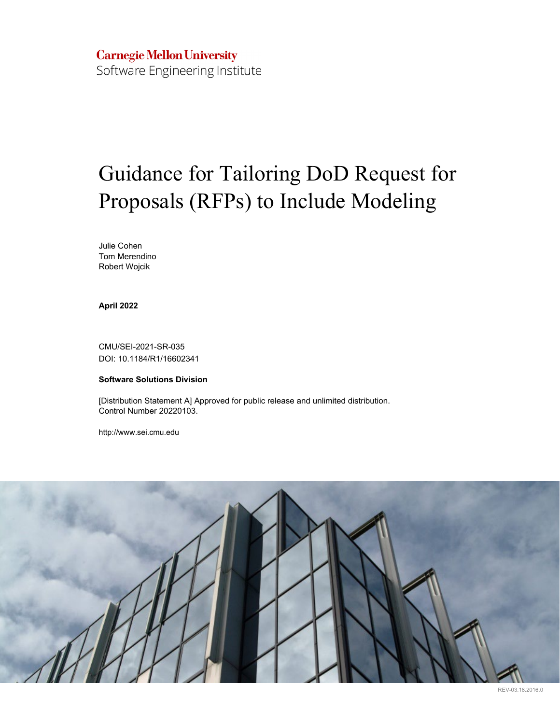## **Carnegie Mellon University** Software Engineering Institute

# Guidance for Tailoring DoD Request for Proposals (RFPs) to Include Modeling

Julie Cohen Tom Merendino Robert Wojcik

**April 2022**

CMU/SEI-2021-SR-035 DOI: 10.1184/R1/16602341

#### **Software Solutions Division**

[Distribution Statement A] Approved for public release and unlimited distribution. Control Number 20220103.

http://www.sei.cmu.edu



REV-03.18.2016.0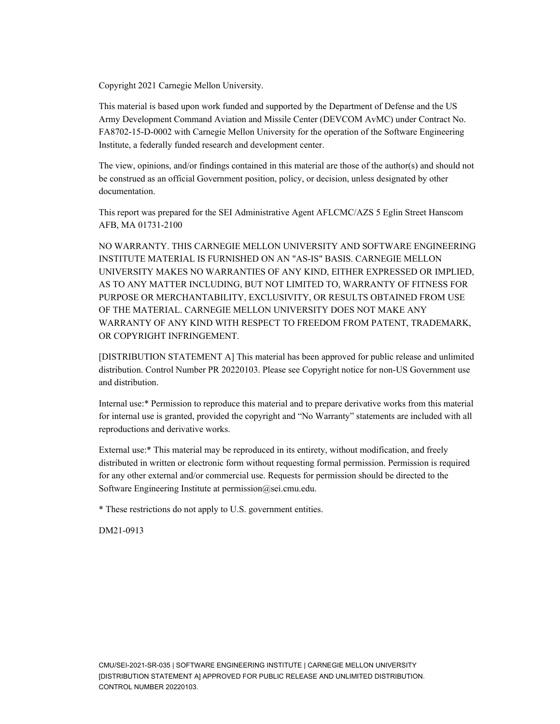Copyright 2021 Carnegie Mellon University.

This material is based upon work funded and supported by the Department of Defense and the US Army Development Command Aviation and Missile Center (DEVCOM AvMC) under Contract No. FA8702-15-D-0002 with Carnegie Mellon University for the operation of the Software Engineering Institute, a federally funded research and development center.

The view, opinions, and/or findings contained in this material are those of the author(s) and should not be construed as an official Government position, policy, or decision, unless designated by other documentation.

This report was prepared for the SEI Administrative Agent AFLCMC/AZS 5 Eglin Street Hanscom AFB, MA 01731-2100

NO WARRANTY. THIS CARNEGIE MELLON UNIVERSITY AND SOFTWARE ENGINEERING INSTITUTE MATERIAL IS FURNISHED ON AN "AS-IS" BASIS. CARNEGIE MELLON UNIVERSITY MAKES NO WARRANTIES OF ANY KIND, EITHER EXPRESSED OR IMPLIED, AS TO ANY MATTER INCLUDING, BUT NOT LIMITED TO, WARRANTY OF FITNESS FOR PURPOSE OR MERCHANTABILITY, EXCLUSIVITY, OR RESULTS OBTAINED FROM USE OF THE MATERIAL. CARNEGIE MELLON UNIVERSITY DOES NOT MAKE ANY WARRANTY OF ANY KIND WITH RESPECT TO FREEDOM FROM PATENT, TRADEMARK, OR COPYRIGHT INFRINGEMENT.

[DISTRIBUTION STATEMENT A] This material has been approved for public release and unlimited distribution. Control Number PR 20220103. Please see Copyright notice for non-US Government use and distribution.

Internal use:\* Permission to reproduce this material and to prepare derivative works from this material for internal use is granted, provided the copyright and "No Warranty" statements are included with all reproductions and derivative works.

External use:\* This material may be reproduced in its entirety, without modification, and freely distributed in written or electronic form without requesting formal permission. Permission is required for any other external and/or commercial use. Requests for permission should be directed to the Software Engineering Institute at permission@sei.cmu.edu.

\* These restrictions do not apply to U.S. government entities.

DM21-0913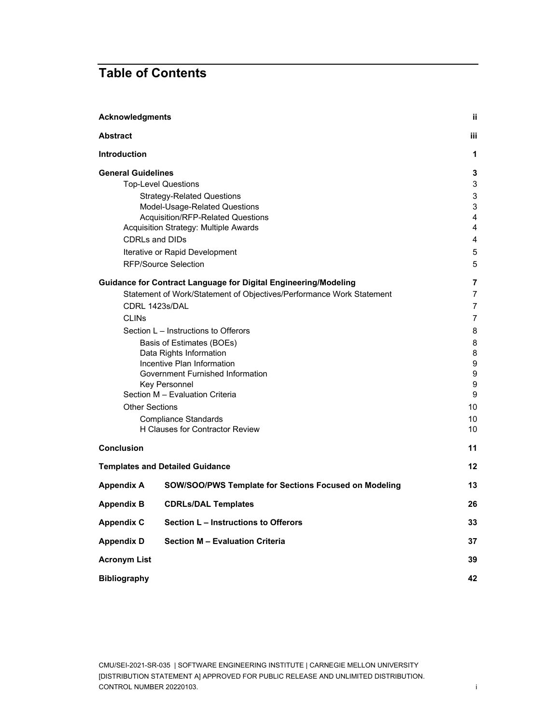## **Table of Contents**

| <b>Acknowledgments</b>               |                                                                      |                |  |  |  |
|--------------------------------------|----------------------------------------------------------------------|----------------|--|--|--|
| <b>Abstract</b>                      |                                                                      | iii.           |  |  |  |
| <b>Introduction</b>                  |                                                                      | 1              |  |  |  |
| <b>General Guidelines</b>            |                                                                      | 3              |  |  |  |
| <b>Top-Level Questions</b>           | 3                                                                    |                |  |  |  |
|                                      | <b>Strategy-Related Questions</b>                                    | $\sqrt{3}$     |  |  |  |
|                                      | Model-Usage-Related Questions                                        | 3              |  |  |  |
|                                      | Acquisition/RFP-Related Questions                                    | 4              |  |  |  |
|                                      | Acquisition Strategy: Multiple Awards                                | $\overline{4}$ |  |  |  |
| <b>CDRLs and DIDs</b>                |                                                                      | 4              |  |  |  |
|                                      | Iterative or Rapid Development                                       | $\sqrt{5}$     |  |  |  |
|                                      | <b>RFP/Source Selection</b>                                          | 5              |  |  |  |
|                                      | Guidance for Contract Language for Digital Engineering/Modeling      | 7              |  |  |  |
|                                      | Statement of Work/Statement of Objectives/Performance Work Statement | $\overline{7}$ |  |  |  |
| CDRL 1423s/DAL                       |                                                                      | 7              |  |  |  |
| <b>CLIN<sub>s</sub></b>              |                                                                      |                |  |  |  |
| Section L – Instructions to Offerors |                                                                      |                |  |  |  |
| Basis of Estimates (BOEs)            |                                                                      |                |  |  |  |
| Data Rights Information              |                                                                      |                |  |  |  |
| Incentive Plan Information           |                                                                      |                |  |  |  |
| Government Furnished Information     |                                                                      |                |  |  |  |
|                                      | Key Personnel<br>Section M - Evaluation Criteria                     | 9<br>9         |  |  |  |
| <b>Other Sections</b>                |                                                                      | 10             |  |  |  |
|                                      | <b>Compliance Standards</b>                                          | 10             |  |  |  |
|                                      | H Clauses for Contractor Review                                      | 10             |  |  |  |
|                                      |                                                                      |                |  |  |  |
| <b>Conclusion</b>                    |                                                                      | 11             |  |  |  |
|                                      | <b>Templates and Detailed Guidance</b>                               | 12             |  |  |  |
| <b>Appendix A</b>                    | SOW/SOO/PWS Template for Sections Focused on Modeling                | 13             |  |  |  |
| <b>Appendix B</b>                    | <b>CDRLs/DAL Templates</b>                                           | 26             |  |  |  |
| <b>Appendix C</b>                    | Section L - Instructions to Offerors                                 | 33             |  |  |  |
| <b>Appendix D</b>                    | <b>Section M - Evaluation Criteria</b>                               | 37             |  |  |  |
| <b>Acronym List</b>                  |                                                                      | 39             |  |  |  |
| <b>Bibliography</b>                  |                                                                      | 42             |  |  |  |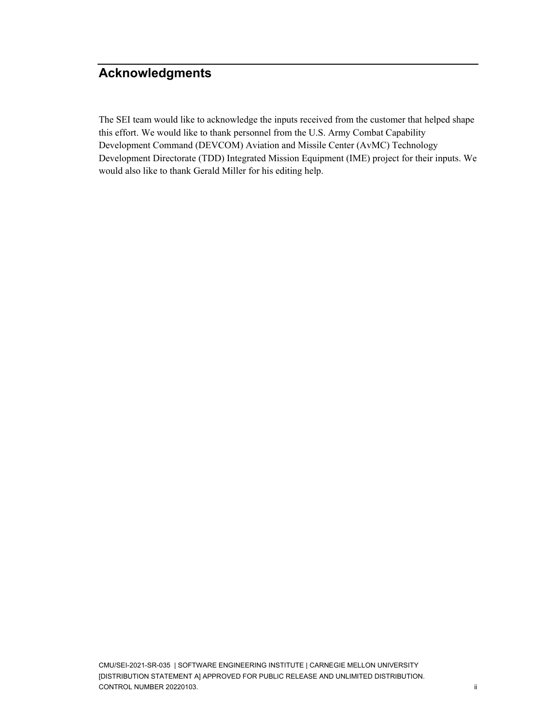## <span id="page-3-0"></span>**Acknowledgments**

The SEI team would like to acknowledge the inputs received from the customer that helped shape this effort. We would like to thank personnel from the U.S. Army Combat Capability Development Command (DEVCOM) Aviation and Missile Center (AvMC) Technology Development Directorate (TDD) Integrated Mission Equipment (IME) project for their inputs. We would also like to thank Gerald Miller for his editing help.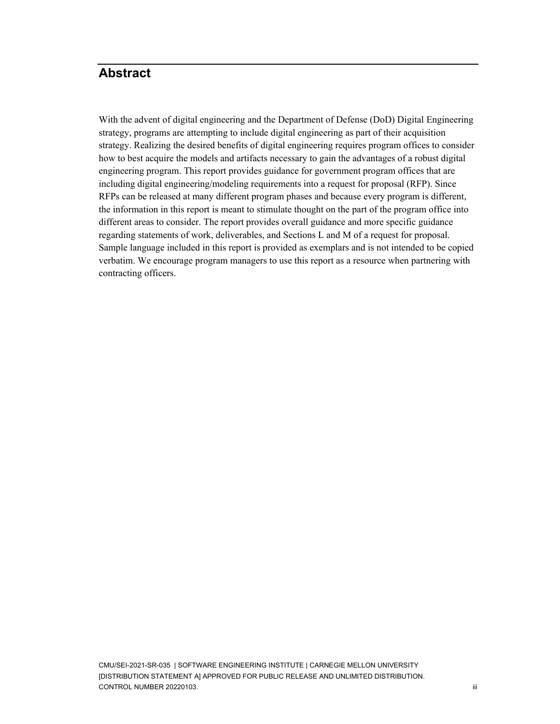## <span id="page-4-0"></span>**Abstract**

With the advent of digital engineering and the Department of Defense (DoD) Digital Engineering strategy, programs are attempting to include digital engineering as part of their acquisition strategy. Realizing the desired benefits of digital engineering requires program offices to consider how to best acquire the models and artifacts necessary to gain the advantages of a robust digital engineering program. This report provides guidance for government program offices that are including digital engineering/modeling requirements into a request for proposal (RFP). Since RFPs can be released at many different program phases and because every program is different, the information in this report is meant to stimulate thought on the part of the program office into different areas to consider. The report provides overall guidance and more specific guidance regarding statements of work, deliverables, and Sections L and M of a request for proposal. Sample language included in this report is provided as exemplars and is not intended to be copied verbatim. We encourage program managers to use this report as a resource when partnering with contracting officers.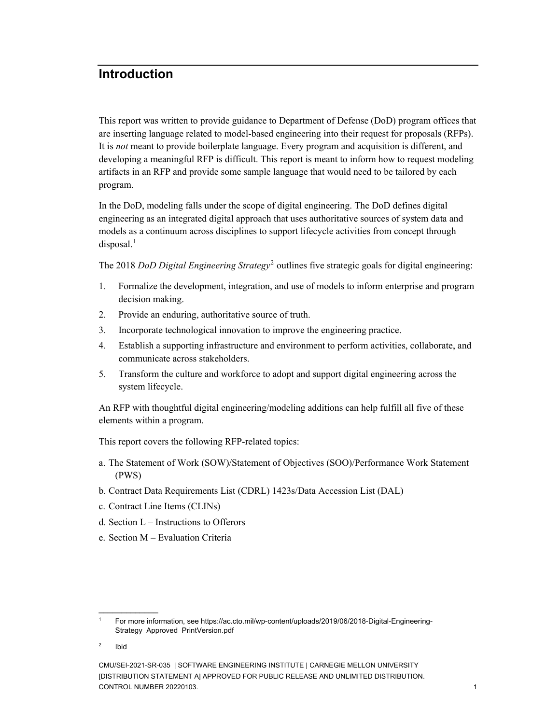### <span id="page-5-0"></span>**Introduction**

This report was written to provide guidance to Department of Defense (DoD) program offices that are inserting language related to model-based engineering into their request for proposals (RFPs). It is *not* meant to provide boilerplate language. Every program and acquisition is different, and developing a meaningful RFP is difficult. This report is meant to inform how to request modeling artifacts in an RFP and provide some sample language that would need to be tailored by each program.

In the DoD, modeling falls under the scope of digital engineering. The DoD defines digital engineering as an integrated digital approach that uses authoritative sources of system data and models as a continuum across disciplines to support lifecycle activities from concept through  $disposal.<sup>1</sup>$  $disposal.<sup>1</sup>$  $disposal.<sup>1</sup>$ 

The 2018 *[DoD Digital Engineering Strategy](https://ac.cto.mil/wp-content/uploads/2019/06/2018-Digital-Engineering-Strategy_Approved_PrintVersion.pdf)*[2](#page-5-2) outlines five strategic goals for digital engineering:

- 1. Formalize the development, integration, and use of models to inform enterprise and program decision making.
- 2. Provide an enduring, authoritative source of truth.
- 3. Incorporate technological innovation to improve the engineering practice.
- 4. Establish a supporting infrastructure and environment to perform activities, collaborate, and communicate across stakeholders.
- 5. Transform the culture and workforce to adopt and support digital engineering across the system lifecycle.

An RFP with thoughtful digital engineering/modeling additions can help fulfill all five of these elements within a program.

This report covers the following RFP-related topics:

- a. The Statement of Work (SOW)/Statement of Objectives (SOO)/Performance Work Statement (PWS)
- b. Contract Data Requirements List (CDRL) 1423s/Data Accession List (DAL)
- c. Contract Line Items (CLINs)
- d. Section L Instructions to Offerors
- e. Section M Evaluation Criteria

\_\_\_\_\_\_\_\_\_\_\_\_\_

<span id="page-5-1"></span><sup>1</sup> For more information, see https://ac.cto.mil/wp-content/uploads/2019/06/2018-Digital-Engineering-Strategy\_Approved\_PrintVersion.pdf

<span id="page-5-2"></span><sup>2</sup> Ibid

CMU/SEI-2021-SR-035 | SOFTWARE ENGINEERING INSTITUTE | CARNEGIE MELLON UNIVERSITY [DISTRIBUTION STATEMENT A] APPROVED FOR PUBLIC RELEASE AND UNLIMITED DISTRIBUTION. CONTROL NUMBER 20220103. 1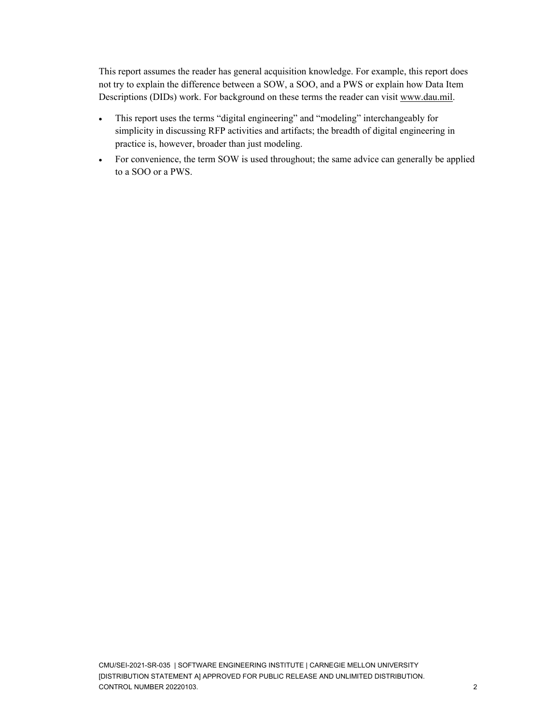This report assumes the reader has general acquisition knowledge. For example, this report does not try to explain the difference between a SOW, a SOO, and a PWS or explain how Data Item Descriptions (DIDs) work. For background on these terms the reader can visit [www.dau.mil.](http://www.dau.mil/)

- This report uses the terms "digital engineering" and "modeling" interchangeably for simplicity in discussing RFP activities and artifacts; the breadth of digital engineering in practice is, however, broader than just modeling.
- For convenience, the term SOW is used throughout; the same advice can generally be applied to a SOO or a PWS.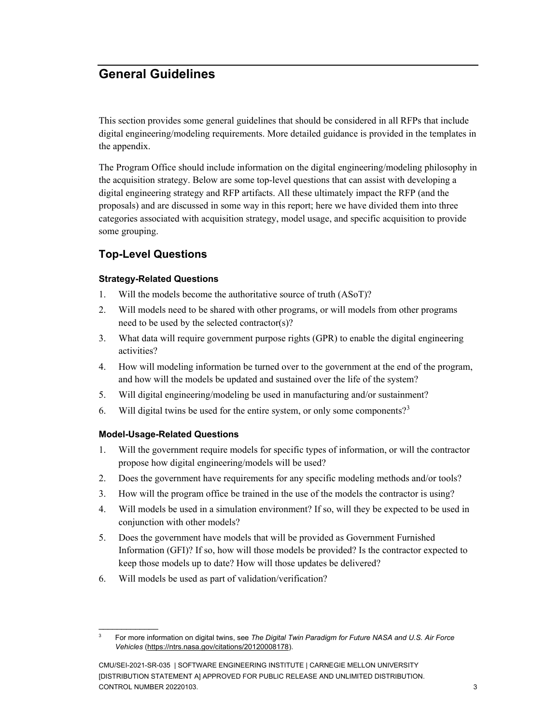## <span id="page-7-0"></span>**General Guidelines**

This section provides some general guidelines that should be considered in all RFPs that include digital engineering/modeling requirements. More detailed guidance is provided in the templates in the appendix.

The Program Office should include information on the digital engineering/modeling philosophy in the acquisition strategy. Below are some top-level questions that can assist with developing a digital engineering strategy and RFP artifacts. All these ultimately impact the RFP (and the proposals) and are discussed in some way in this report; here we have divided them into three categories associated with acquisition strategy, model usage, and specific acquisition to provide some grouping.

### <span id="page-7-1"></span>**Top-Level Questions**

#### <span id="page-7-2"></span>**Strategy-Related Questions**

- 1. Will the models become the authoritative source of truth (ASoT)?
- 2. Will models need to be shared with other programs, or will models from other programs need to be used by the selected contractor(s)?
- 3. What data will require government purpose rights (GPR) to enable the digital engineering activities?
- 4. How will modeling information be turned over to the government at the end of the program, and how will the models be updated and sustained over the life of the system?
- 5. Will digital engineering/modeling be used in manufacturing and/or sustainment?
- 6. Will digital twins be used for the entire system, or only some components?<sup>[3](#page-7-4)</sup>

### <span id="page-7-3"></span>**Model-Usage-Related Questions**

\_\_\_\_\_\_\_\_\_\_\_\_\_

- 1. Will the government require models for specific types of information, or will the contractor propose how digital engineering/models will be used?
- 2. Does the government have requirements for any specific modeling methods and/or tools?
- 3. How will the program office be trained in the use of the models the contractor is using?
- 4. Will models be used in a simulation environment? If so, will they be expected to be used in conjunction with other models?
- 5. Does the government have models that will be provided as Government Furnished Information (GFI)? If so, how will those models be provided? Is the contractor expected to keep those models up to date? How will those updates be delivered?
- 6. Will models be used as part of validation/verification?

<span id="page-7-4"></span><sup>3</sup> For more information on digital twins, see *The Digital Twin Paradigm for Future NASA and U.S. Air Force Vehicles* [\(https://ntrs.nasa.gov/citations/20120008178\)](https://ntrs.nasa.gov/citations/20120008178).

CMU/SEI-2021-SR-035 | SOFTWARE ENGINEERING INSTITUTE | CARNEGIE MELLON UNIVERSITY [DISTRIBUTION STATEMENT A] APPROVED FOR PUBLIC RELEASE AND UNLIMITED DISTRIBUTION. CONTROL NUMBER 20220103. 3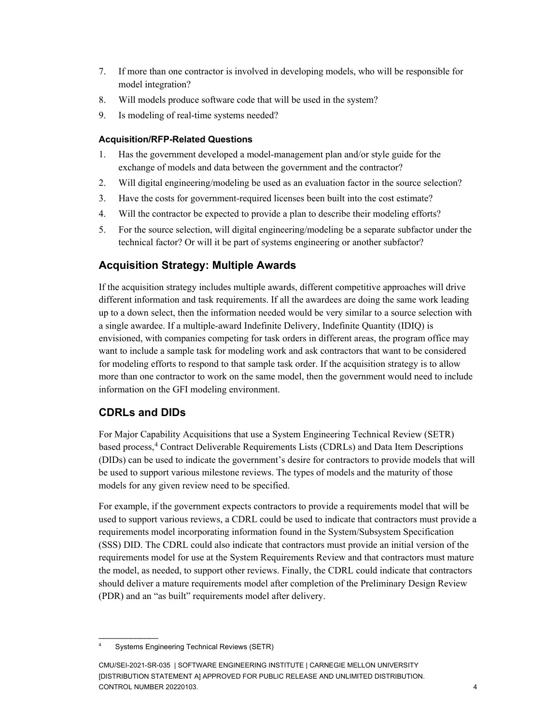- 7. If more than one contractor is involved in developing models, who will be responsible for model integration?
- 8. Will models produce software code that will be used in the system?
- <span id="page-8-0"></span>9. Is modeling of real-time systems needed?

#### **Acquisition/RFP-Related Questions**

- 1. Has the government developed a model-management plan and/or style guide for the exchange of models and data between the government and the contractor?
- 2. Will digital engineering/modeling be used as an evaluation factor in the source selection?
- 3. Have the costs for government-required licenses been built into the cost estimate?
- 4. Will the contractor be expected to provide a plan to describe their modeling efforts?
- 5. For the source selection, will digital engineering/modeling be a separate subfactor under the technical factor? Or will it be part of systems engineering or another subfactor?

### <span id="page-8-1"></span>**Acquisition Strategy: Multiple Awards**

If the acquisition strategy includes multiple awards, different competitive approaches will drive different information and task requirements. If all the awardees are doing the same work leading up to a down select, then the information needed would be very similar to a source selection with a single awardee. If a multiple-award Indefinite Delivery, Indefinite Quantity (IDIQ) is envisioned, with companies competing for task orders in different areas, the program office may want to include a sample task for modeling work and ask contractors that want to be considered for modeling efforts to respond to that sample task order. If the acquisition strategy is to allow more than one contractor to work on the same model, then the government would need to include information on the GFI modeling environment.

### <span id="page-8-2"></span>**CDRLs and DIDs**

 $\overline{\phantom{a}}$ 

For Major Capability Acquisitions that use a System Engineering Technical Review (SETR) based process,<sup>[4](#page-8-3)</sup> Contract Deliverable Requirements Lists (CDRLs) and Data Item Descriptions (DIDs) can be used to indicate the government's desire for contractors to provide models that will be used to support various milestone reviews. The types of models and the maturity of those models for any given review need to be specified.

For example, if the government expects contractors to provide a requirements model that will be used to support various reviews, a CDRL could be used to indicate that contractors must provide a requirements model incorporating information found in the System/Subsystem Specification (SSS) DID. The CDRL could also indicate that contractors must provide an initial version of the requirements model for use at the System Requirements Review and that contractors must mature the model, as needed, to support other reviews. Finally, the CDRL could indicate that contractors should deliver a mature requirements model after completion of the Preliminary Design Review (PDR) and an "as built" requirements model after delivery.

<span id="page-8-3"></span><sup>4</sup> Systems Engineering Technical Reviews (SETR)

CMU/SEI-2021-SR-035 | SOFTWARE ENGINEERING INSTITUTE | CARNEGIE MELLON UNIVERSITY [DISTRIBUTION STATEMENT A] APPROVED FOR PUBLIC RELEASE AND UNLIMITED DISTRIBUTION. CONTROL NUMBER 20220103. 4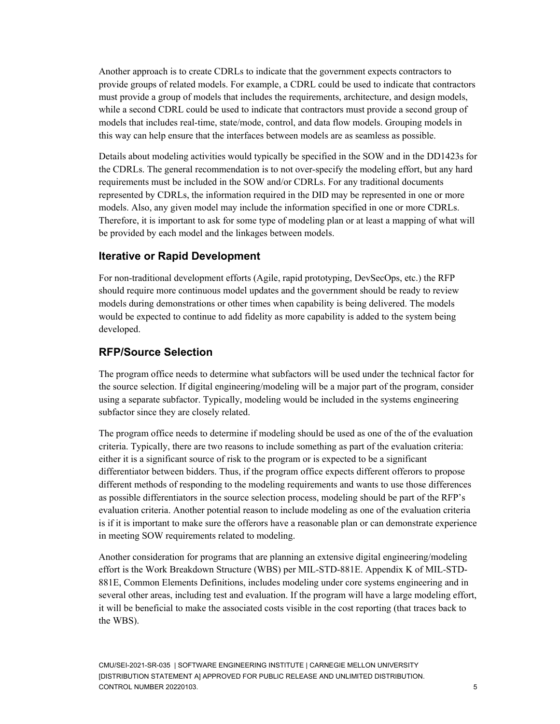Another approach is to create CDRLs to indicate that the government expects contractors to provide groups of related models. For example, a CDRL could be used to indicate that contractors must provide a group of models that includes the requirements, architecture, and design models, while a second CDRL could be used to indicate that contractors must provide a second group of models that includes real-time, state/mode, control, and data flow models. Grouping models in this way can help ensure that the interfaces between models are as seamless as possible.

Details about modeling activities would typically be specified in the SOW and in the DD1423s for the CDRLs. The general recommendation is to not over-specify the modeling effort, but any hard requirements must be included in the SOW and/or CDRLs. For any traditional documents represented by CDRLs, the information required in the DID may be represented in one or more models. Also, any given model may include the information specified in one or more CDRLs. Therefore, it is important to ask for some type of modeling plan or at least a mapping of what will be provided by each model and the linkages between models.

### <span id="page-9-0"></span>**Iterative or Rapid Development**

For non-traditional development efforts (Agile, rapid prototyping, DevSecOps, etc.) the RFP should require more continuous model updates and the government should be ready to review models during demonstrations or other times when capability is being delivered. The models would be expected to continue to add fidelity as more capability is added to the system being developed.

### <span id="page-9-1"></span>**RFP/Source Selection**

The program office needs to determine what subfactors will be used under the technical factor for the source selection. If digital engineering/modeling will be a major part of the program, consider using a separate subfactor. Typically, modeling would be included in the systems engineering subfactor since they are closely related.

The program office needs to determine if modeling should be used as one of the of the evaluation criteria. Typically, there are two reasons to include something as part of the evaluation criteria: either it is a significant source of risk to the program or is expected to be a significant differentiator between bidders. Thus, if the program office expects different offerors to propose different methods of responding to the modeling requirements and wants to use those differences as possible differentiators in the source selection process, modeling should be part of the RFP's evaluation criteria. Another potential reason to include modeling as one of the evaluation criteria is if it is important to make sure the offerors have a reasonable plan or can demonstrate experience in meeting SOW requirements related to modeling.

Another consideration for programs that are planning an extensive digital engineering/modeling effort is the Work Breakdown Structure (WBS) per MIL-STD-881E. Appendix K of MIL-STD-881E, Common Elements Definitions, includes modeling under core systems engineering and in several other areas, including test and evaluation. If the program will have a large modeling effort, it will be beneficial to make the associated costs visible in the cost reporting (that traces back to the WBS).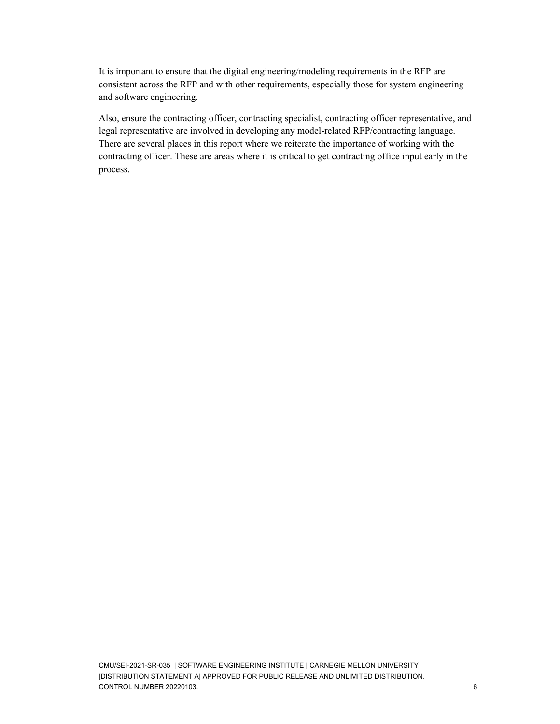It is important to ensure that the digital engineering/modeling requirements in the RFP are consistent across the RFP and with other requirements, especially those for system engineering and software engineering.

Also, ensure the contracting officer, contracting specialist, contracting officer representative, and legal representative are involved in developing any model-related RFP/contracting language. There are several places in this report where we reiterate the importance of working with the contracting officer. These are areas where it is critical to get contracting office input early in the process.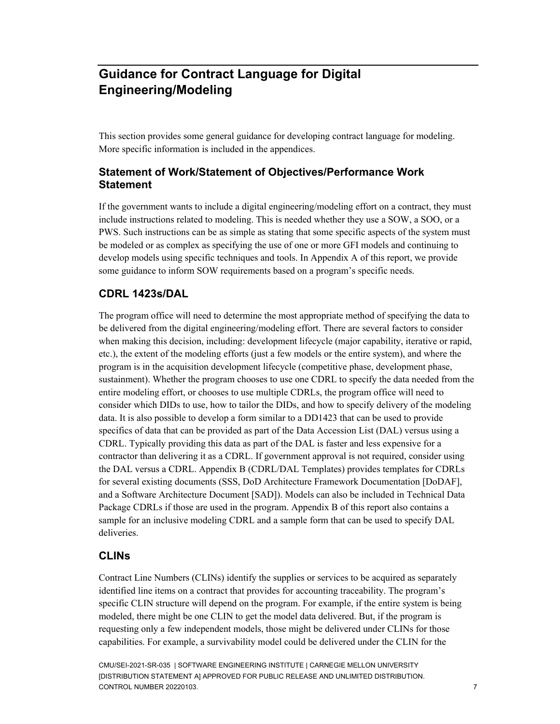## <span id="page-11-0"></span>**Guidance for Contract Language for Digital Engineering/Modeling**

This section provides some general guidance for developing contract language for modeling. More specific information is included in the appendices.

### <span id="page-11-1"></span>**Statement of Work/Statement of Objectives/Performance Work Statement**

If the government wants to include a digital engineering/modeling effort on a contract, they must include instructions related to modeling. This is needed whether they use a SOW, a SOO, or a PWS. Such instructions can be as simple as stating that some specific aspects of the system must be modeled or as complex as specifying the use of one or more GFI models and continuing to develop models using specific techniques and tools. In Appendix A of this report, we provide some guidance to inform SOW requirements based on a program's specific needs.

### <span id="page-11-2"></span>**CDRL 1423s/DAL**

The program office will need to determine the most appropriate method of specifying the data to be delivered from the digital engineering/modeling effort. There are several factors to consider when making this decision, including: development lifecycle (major capability, iterative or rapid, etc.), the extent of the modeling efforts (just a few models or the entire system), and where the program is in the acquisition development lifecycle (competitive phase, development phase, sustainment). Whether the program chooses to use one CDRL to specify the data needed from the entire modeling effort, or chooses to use multiple CDRLs, the program office will need to consider which DIDs to use, how to tailor the DIDs, and how to specify delivery of the modeling data. It is also possible to develop a form similar to a DD1423 that can be used to provide specifics of data that can be provided as part of the Data Accession List (DAL) versus using a CDRL. Typically providing this data as part of the DAL is faster and less expensive for a contractor than delivering it as a CDRL. If government approval is not required, consider using the DAL versus a CDRL. Appendix B (CDRL/DAL Templates) provides templates for CDRLs for several existing documents (SSS, DoD Architecture Framework Documentation [DoDAF], and a Software Architecture Document [SAD]). Models can also be included in Technical Data Package CDRLs if those are used in the program. Appendix B of this report also contains a sample for an inclusive modeling CDRL and a sample form that can be used to specify DAL deliveries.

### <span id="page-11-3"></span>**CLINs**

Contract Line Numbers (CLINs) identify the supplies or services to be acquired as separately identified line items on a contract that provides for accounting traceability. The program's specific CLIN structure will depend on the program. For example, if the entire system is being modeled, there might be one CLIN to get the model data delivered. But, if the program is requesting only a few independent models, those might be delivered under CLINs for those capabilities. For example, a survivability model could be delivered under the CLIN for the

CMU/SEI-2021-SR-035 | SOFTWARE ENGINEERING INSTITUTE | CARNEGIE MELLON UNIVERSITY [DISTRIBUTION STATEMENT A] APPROVED FOR PUBLIC RELEASE AND UNLIMITED DISTRIBUTION. CONTROL NUMBER 20220103. The control of the control of the control of the control of the control of the control of the control of the control of the control of the control of the control of the control of the control of th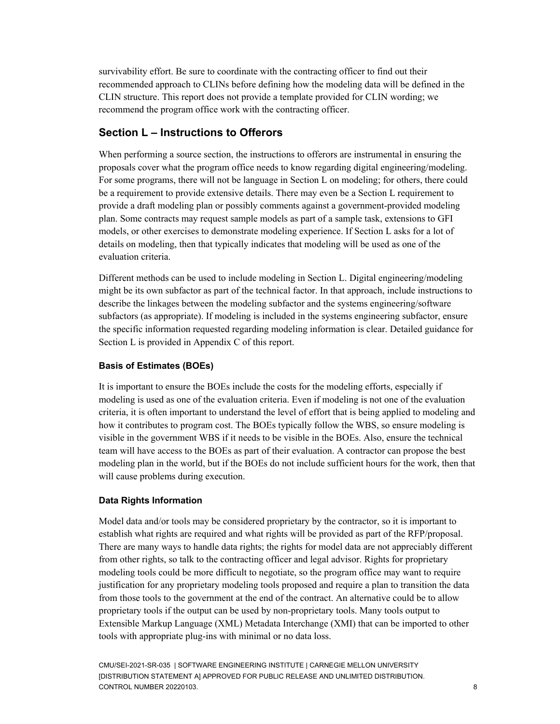survivability effort. Be sure to coordinate with the contracting officer to find out their recommended approach to CLINs before defining how the modeling data will be defined in the CLIN structure. This report does not provide a template provided for CLIN wording; we recommend the program office work with the contracting officer.

### <span id="page-12-0"></span>**Section L – Instructions to Offerors**

When performing a source section, the instructions to offerors are instrumental in ensuring the proposals cover what the program office needs to know regarding digital engineering/modeling. For some programs, there will not be language in Section L on modeling; for others, there could be a requirement to provide extensive details. There may even be a Section L requirement to provide a draft modeling plan or possibly comments against a government-provided modeling plan. Some contracts may request sample models as part of a sample task, extensions to GFI models, or other exercises to demonstrate modeling experience. If Section L asks for a lot of details on modeling, then that typically indicates that modeling will be used as one of the evaluation criteria.

Different methods can be used to include modeling in Section L. Digital engineering/modeling might be its own subfactor as part of the technical factor. In that approach, include instructions to describe the linkages between the modeling subfactor and the systems engineering/software subfactors (as appropriate). If modeling is included in the systems engineering subfactor, ensure the specific information requested regarding modeling information is clear. Detailed guidance for Section L is provided in Appendix C of this report.

### <span id="page-12-1"></span>**Basis of Estimates (BOEs)**

It is important to ensure the BOEs include the costs for the modeling efforts, especially if modeling is used as one of the evaluation criteria. Even if modeling is not one of the evaluation criteria, it is often important to understand the level of effort that is being applied to modeling and how it contributes to program cost. The BOEs typically follow the WBS, so ensure modeling is visible in the government WBS if it needs to be visible in the BOEs. Also, ensure the technical team will have access to the BOEs as part of their evaluation. A contractor can propose the best modeling plan in the world, but if the BOEs do not include sufficient hours for the work, then that will cause problems during execution.

### <span id="page-12-2"></span>**Data Rights Information**

Model data and/or tools may be considered proprietary by the contractor, so it is important to establish what rights are required and what rights will be provided as part of the RFP/proposal. There are many ways to handle data rights; the rights for model data are not appreciably different from other rights, so talk to the contracting officer and legal advisor. Rights for proprietary modeling tools could be more difficult to negotiate, so the program office may want to require justification for any proprietary modeling tools proposed and require a plan to transition the data from those tools to the government at the end of the contract. An alternative could be to allow proprietary tools if the output can be used by non-proprietary tools. Many tools output to Extensible Markup Language (XML) Metadata Interchange (XMI) that can be imported to other tools with appropriate plug-ins with minimal or no data loss.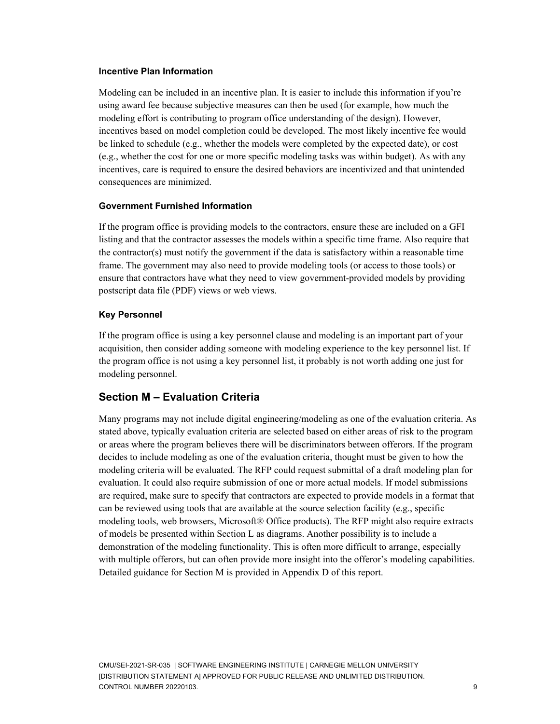#### <span id="page-13-0"></span>**Incentive Plan Information**

Modeling can be included in an incentive plan. It is easier to include this information if you're using award fee because subjective measures can then be used (for example, how much the modeling effort is contributing to program office understanding of the design). However, incentives based on model completion could be developed. The most likely incentive fee would be linked to schedule (e.g., whether the models were completed by the expected date), or cost (e.g., whether the cost for one or more specific modeling tasks was within budget). As with any incentives, care is required to ensure the desired behaviors are incentivized and that unintended consequences are minimized.

#### <span id="page-13-1"></span>**Government Furnished Information**

If the program office is providing models to the contractors, ensure these are included on a GFI listing and that the contractor assesses the models within a specific time frame. Also require that the contractor(s) must notify the government if the data is satisfactory within a reasonable time frame. The government may also need to provide modeling tools (or access to those tools) or ensure that contractors have what they need to view government-provided models by providing postscript data file (PDF) views or web views.

#### <span id="page-13-2"></span>**Key Personnel**

If the program office is using a key personnel clause and modeling is an important part of your acquisition, then consider adding someone with modeling experience to the key personnel list. If the program office is not using a key personnel list, it probably is not worth adding one just for modeling personnel.

### <span id="page-13-3"></span>**Section M – Evaluation Criteria**

Many programs may not include digital engineering/modeling as one of the evaluation criteria. As stated above, typically evaluation criteria are selected based on either areas of risk to the program or areas where the program believes there will be discriminators between offerors. If the program decides to include modeling as one of the evaluation criteria, thought must be given to how the modeling criteria will be evaluated. The RFP could request submittal of a draft modeling plan for evaluation. It could also require submission of one or more actual models. If model submissions are required, make sure to specify that contractors are expected to provide models in a format that can be reviewed using tools that are available at the source selection facility (e.g., specific modeling tools, web browsers, Microsoft® Office products). The RFP might also require extracts of models be presented within Section L as diagrams. Another possibility is to include a demonstration of the modeling functionality. This is often more difficult to arrange, especially with multiple offerors, but can often provide more insight into the offeror's modeling capabilities. Detailed guidance for Section M is provided in Appendix D of this report.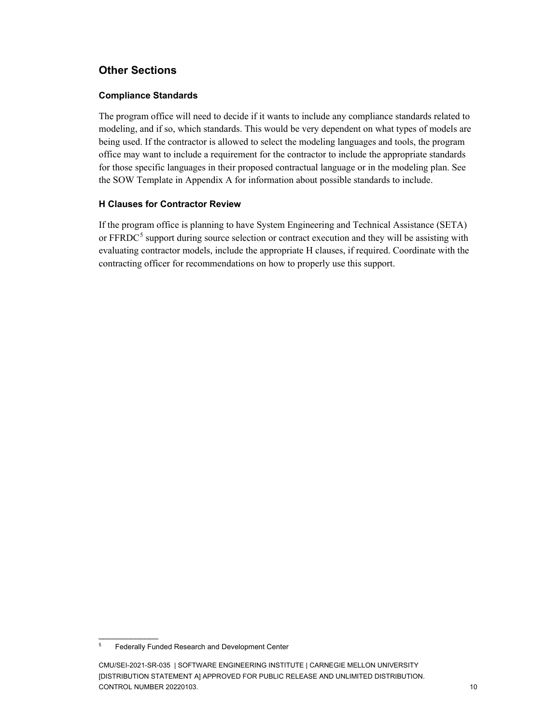### <span id="page-14-0"></span>**Other Sections**

#### <span id="page-14-1"></span>**Compliance Standards**

The program office will need to decide if it wants to include any compliance standards related to modeling, and if so, which standards. This would be very dependent on what types of models are being used. If the contractor is allowed to select the modeling languages and tools, the program office may want to include a requirement for the contractor to include the appropriate standards for those specific languages in their proposed contractual language or in the modeling plan. See the SOW Template in Appendix A for information about possible standards to include.

#### <span id="page-14-2"></span>**H Clauses for Contractor Review**

If the program office is planning to have System Engineering and Technical Assistance (SETA) or FFRDC<sup>[5](#page-14-3)</sup> support during source selection or contract execution and they will be assisting with evaluating contractor models, include the appropriate H clauses, if required. Coordinate with the contracting officer for recommendations on how to properly use this support.

 $\overline{\phantom{a}}$ 

<span id="page-14-3"></span><sup>&</sup>lt;sup>5</sup> Federally Funded Research and Development Center

CMU/SEI-2021-SR-035 | SOFTWARE ENGINEERING INSTITUTE | CARNEGIE MELLON UNIVERSITY [DISTRIBUTION STATEMENT A] APPROVED FOR PUBLIC RELEASE AND UNLIMITED DISTRIBUTION. CONTROL NUMBER 20220103. 10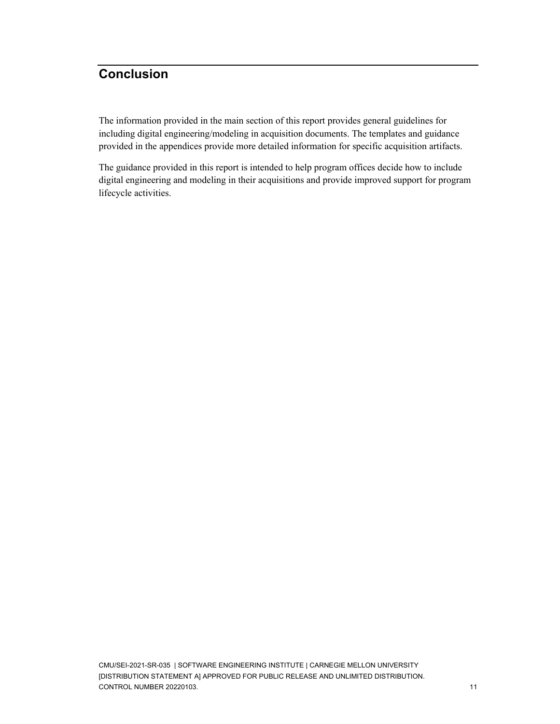## <span id="page-15-0"></span>**Conclusion**

The information provided in the main section of this report provides general guidelines for including digital engineering/modeling in acquisition documents. The templates and guidance provided in the appendices provide more detailed information for specific acquisition artifacts.

The guidance provided in this report is intended to help program offices decide how to include digital engineering and modeling in their acquisitions and provide improved support for program lifecycle activities.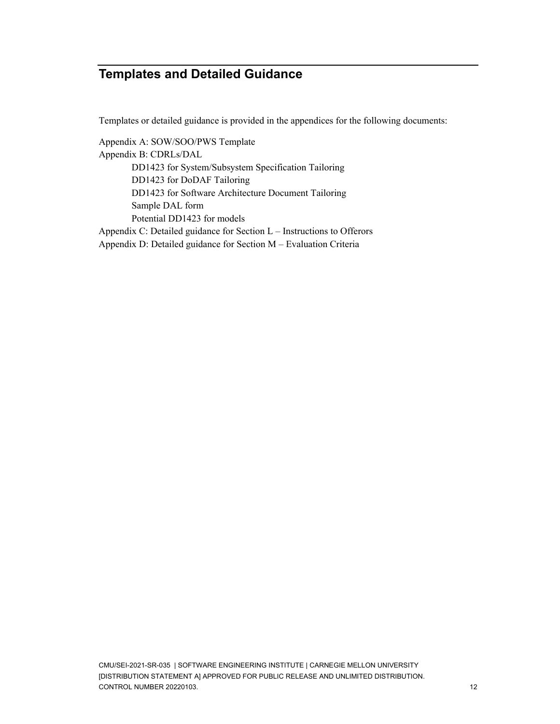## <span id="page-16-0"></span>**Templates and Detailed Guidance**

Templates or detailed guidance is provided in the appendices for the following documents:

Appendix A: SOW/SOO/PWS Template Appendix B: CDRLs/DAL DD1423 for System/Subsystem Specification Tailoring DD1423 for DoDAF Tailoring DD1423 for Software Architecture Document Tailoring Sample DAL form Potential DD1423 for models Appendix C: Detailed guidance for Section L – Instructions to Offerors

Appendix D: Detailed guidance for Section M – Evaluation Criteria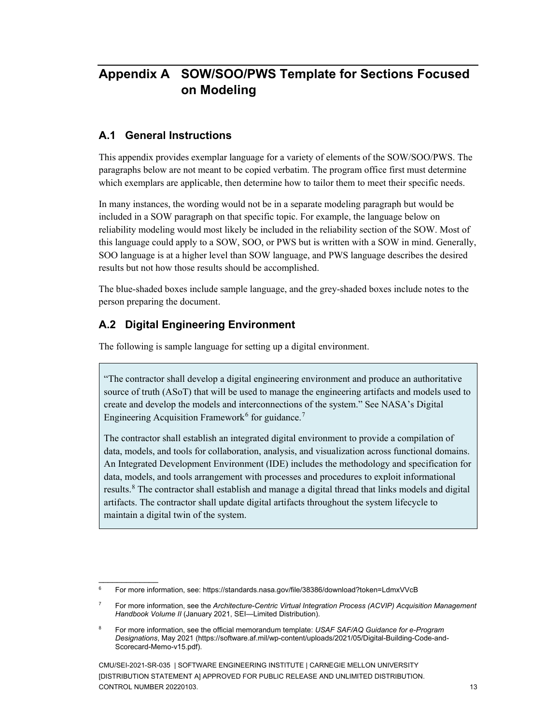## <span id="page-17-0"></span>**Appendix A SOW/SOO/PWS Template for Sections Focused on Modeling**

### **A.1 General Instructions**

This appendix provides exemplar language for a variety of elements of the SOW/SOO/PWS. The paragraphs below are not meant to be copied verbatim. The program office first must determine which exemplars are applicable, then determine how to tailor them to meet their specific needs.

In many instances, the wording would not be in a separate modeling paragraph but would be included in a SOW paragraph on that specific topic. For example, the language below on reliability modeling would most likely be included in the reliability section of the SOW. Most of this language could apply to a SOW, SOO, or PWS but is written with a SOW in mind. Generally, SOO language is at a higher level than SOW language, and PWS language describes the desired results but not how those results should be accomplished.

The blue-shaded boxes include sample language, and the grey-shaded boxes include notes to the person preparing the document.

### **A.2 Digital Engineering Environment**

 $\overline{\phantom{a}}$ 

The following is sample language for setting up a digital environment.

"The contractor shall develop a digital engineering environment and produce an authoritative source of truth (ASoT) that will be used to manage the engineering artifacts and models used to create and develop the models and interconnections of the system." See NASA's Digital Engineering Acquisition Framework<sup>[6](#page-17-1)</sup> for guidance.<sup>[7](#page-17-2)</sup>

The contractor shall establish an integrated digital environment to provide a compilation of data, models, and tools for collaboration, analysis, and visualization across functional domains. An Integrated Development Environment (IDE) includes the methodology and specification for data, models, and tools arrangement with processes and procedures to exploit informational results.[8](#page-17-3) The contractor shall establish and manage a digital thread that links models and digital artifacts. The contractor shall update digital artifacts throughout the system lifecycle to maintain a digital twin of the system.

<span id="page-17-1"></span><sup>6</sup> For more information, see: https://standards.nasa.gov/file/38386/download?token=LdmxVVcB

<span id="page-17-2"></span><sup>7</sup> For more information, see the *Architecture-Centric Virtual Integration Process (ACVIP) Acquisition Management Handbook Volume II* (January 2021, SEI—Limited Distribution).

<span id="page-17-3"></span><sup>8</sup> For more information, see the official memorandum template: *USAF SAF/AQ Guidance for e-Program Designations*, May 2021 (https://software.af.mil/wp-content/uploads/2021/05/Digital-Building-Code-and-Scorecard-Memo-v15.pdf).

CMU/SEI-2021-SR-035 | SOFTWARE ENGINEERING INSTITUTE | CARNEGIE MELLON UNIVERSITY [DISTRIBUTION STATEMENT A] APPROVED FOR PUBLIC RELEASE AND UNLIMITED DISTRIBUTION. CONTROL NUMBER 20220103. 13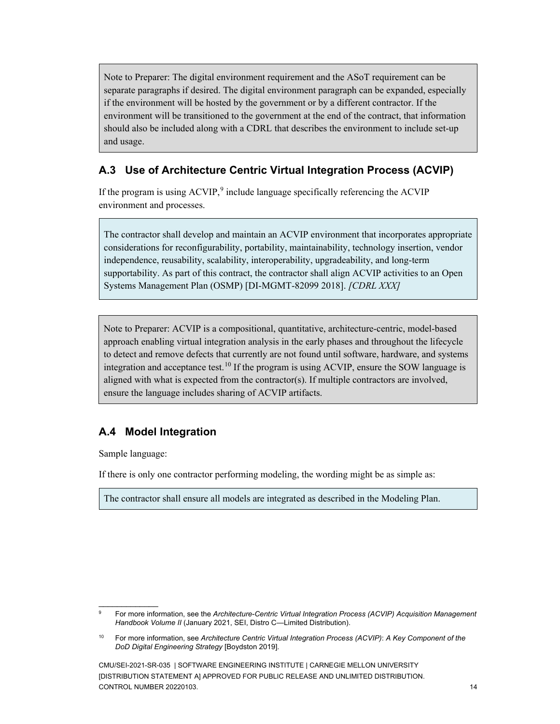Note to Preparer: The digital environment requirement and the ASoT requirement can be separate paragraphs if desired. The digital environment paragraph can be expanded, especially if the environment will be hosted by the government or by a different contractor. If the environment will be transitioned to the government at the end of the contract, that information should also be included along with a CDRL that describes the environment to include set-up and usage.

### **A.3 Use of Architecture Centric Virtual Integration Process (ACVIP)**

If the program is using ACVIP,<sup>[9](#page-18-0)</sup> include language specifically referencing the ACVIP environment and processes.

The contractor shall develop and maintain an ACVIP environment that incorporates appropriate considerations for reconfigurability, portability, maintainability, technology insertion, vendor independence, reusability, scalability, interoperability, upgradeability, and long-term supportability. As part of this contract, the contractor shall align ACVIP activities to an Open Systems Management Plan (OSMP) [DI-MGMT-82099 2018]. *[CDRL XXX]*

Note to Preparer: ACVIP is a compositional, quantitative, architecture-centric, model-based approach enabling virtual integration analysis in the early phases and throughout the lifecycle to detect and remove defects that currently are not found until software, hardware, and systems integration and acceptance test.<sup>[10](#page-18-1)</sup> If the program is using ACVIP, ensure the SOW language is aligned with what is expected from the contractor(s). If multiple contractors are involved, ensure the language includes sharing of ACVIP artifacts.

### **A.4 Model Integration**

Sample language:

 $\overline{\phantom{a}}$ 

If there is only one contractor performing modeling, the wording might be as simple as:

The contractor shall ensure all models are integrated as described in the Modeling Plan.

<span id="page-18-0"></span><sup>9</sup> For more information, see the *Architecture-Centric Virtual Integration Process (ACVIP) Acquisition Management Handbook Volume II* (January 2021, SEI, Distro C—Limited Distribution).

<span id="page-18-1"></span><sup>10</sup> For more information, see *Architecture Centric Virtual Integration Process (ACVIP)*: *A Key Component of the DoD Digital Engineering Strategy* [Boydston 2019].

CMU/SEI-2021-SR-035 | SOFTWARE ENGINEERING INSTITUTE | CARNEGIE MELLON UNIVERSITY [DISTRIBUTION STATEMENT A] APPROVED FOR PUBLIC RELEASE AND UNLIMITED DISTRIBUTION. CONTROL NUMBER 20220103. 14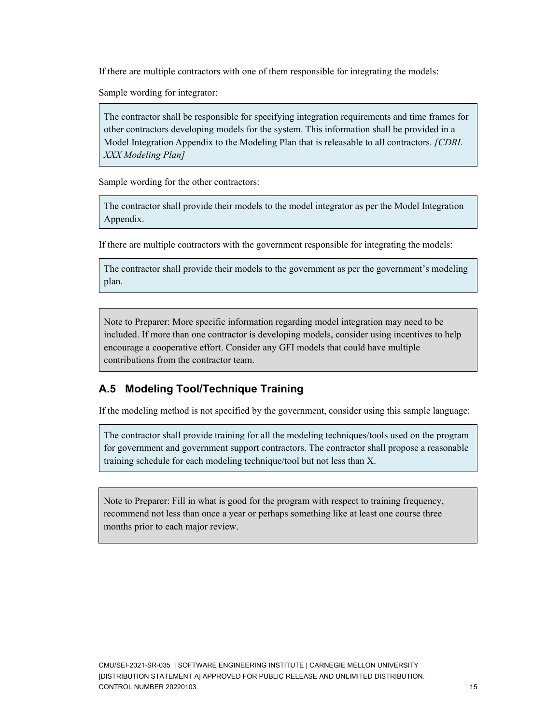If there are multiple contractors with one of them responsible for integrating the models:

Sample wording for integrator:

The contractor shall be responsible for specifying integration requirements and time frames for other contractors developing models for the system. This information shall be provided in a Model Integration Appendix to the Modeling Plan that is releasable to all contractors. *[CDRL XXX Modeling Plan]*

Sample wording for the other contractors:

The contractor shall provide their models to the model integrator as per the Model Integration Appendix.

If there are multiple contractors with the government responsible for integrating the models:

The contractor shall provide their models to the government as per the government's modeling plan.

Note to Preparer: More specific information regarding model integration may need to be included. If more than one contractor is developing models, consider using incentives to help encourage a cooperative effort. Consider any GFI models that could have multiple contributions from the contractor team.

### **A.5 Modeling Tool/Technique Training**

If the modeling method is not specified by the government, consider using this sample language:

The contractor shall provide training for all the modeling techniques/tools used on the program for government and government support contractors. The contractor shall propose a reasonable training schedule for each modeling technique/tool but not less than X.

Note to Preparer: Fill in what is good for the program with respect to training frequency, recommend not less than once a year or perhaps something like at least one course three months prior to each major review.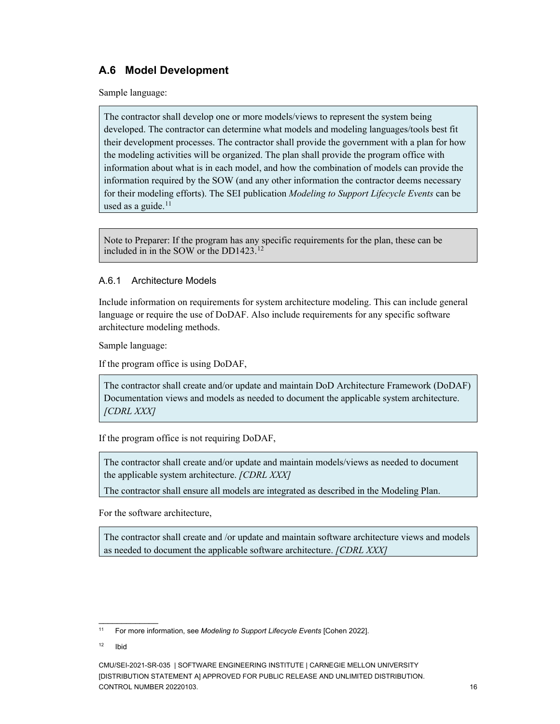### **A.6 Model Development**

Sample language:

The contractor shall develop one or more models/views to represent the system being developed. The contractor can determine what models and modeling languages/tools best fit their development processes. The contractor shall provide the government with a plan for how the modeling activities will be organized. The plan shall provide the program office with information about what is in each model, and how the combination of models can provide the information required by the SOW (and any other information the contractor deems necessary for their modeling efforts). The SEI publication *Modeling to Support Lifecycle Events* can be used as a guide. $11$ 

<span id="page-20-2"></span>Note to Preparer: If the program has any specific requirements for the plan, these can be included in in the SOW or the DD1423. [12](#page-20-1)

#### A.6.1 Architecture Models

Include information on requirements for system architecture modeling. This can include general language or require the use of DoDAF. Also include requirements for any specific software architecture modeling methods.

Sample language:

If the program office is using DoDAF,

The contractor shall create and/or update and maintain DoD Architecture Framework (DoDAF) Documentation views and models as needed to document the applicable system architecture. *[CDRL XXX]*

If the program office is not requiring DoDAF,

The contractor shall create and/or update and maintain models/views as needed to document the applicable system architecture. *[CDRL XXX]*

The contractor shall ensure all models are integrated as described in the Modeling Plan.

For the software architecture,

The contractor shall create and /or update and maintain software architecture views and models as needed to document the applicable software architecture. *[CDRL XXX]*

\_\_\_\_\_\_\_\_\_\_\_\_\_

<span id="page-20-0"></span><sup>11</sup> For more information, see *Modeling to Support Lifecycle Events* [Cohen 2022].

<span id="page-20-1"></span> $12$  Ibid

CMU/SEI-2021-SR-035 | SOFTWARE ENGINEERING INSTITUTE | CARNEGIE MELLON UNIVERSITY [DISTRIBUTION STATEMENT A] APPROVED FOR PUBLIC RELEASE AND UNLIMITED DISTRIBUTION. CONTROL NUMBER 20220103. 16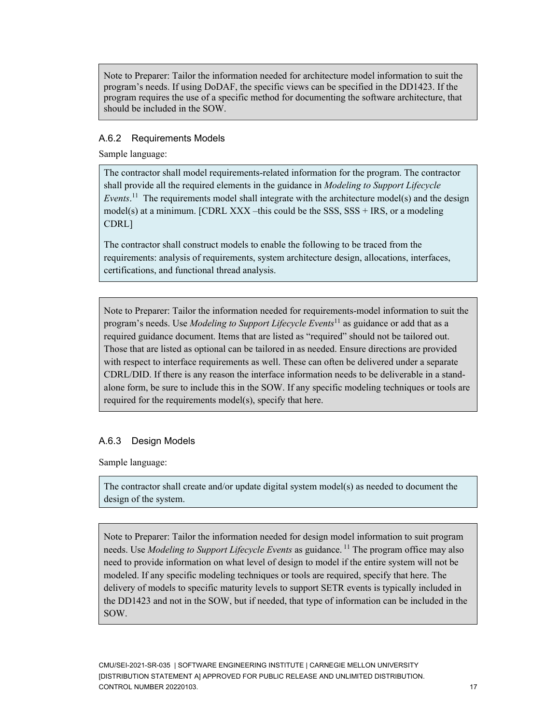Note to Preparer: Tailor the information needed for architecture model information to suit the program's needs. If using DoDAF, the specific views can be specified in the DD1423. If the program requires the use of a specific method for documenting the software architecture, that should be included in the SOW.

#### A.6.2 Requirements Models

Sample language:

The contractor shall model requirements-related information for the program. The contractor shall provide all the required elements in the guidance in *Modeling to Support Lifecycle Events*. [11](#page-20-2) The requirements model shall integrate with the architecture model(s) and the design model(s) at a minimum. [CDRL XXX –this could be the SSS,  $SSS + IRS$ , or a modeling CDRL]

The contractor shall construct models to enable the following to be traced from the requirements: analysis of requirements, system architecture design, allocations, interfaces, certifications, and functional thread analysis.

Note to Preparer: Tailor the information needed for requirements-model information to suit the program's needs. Use *Modeling to Support Lifecycle Events*[11](#page-20-2) as guidance or add that as a required guidance document. Items that are listed as "required" should not be tailored out. Those that are listed as optional can be tailored in as needed. Ensure directions are provided with respect to interface requirements as well. These can often be delivered under a separate CDRL/DID. If there is any reason the interface information needs to be deliverable in a standalone form, be sure to include this in the SOW. If any specific modeling techniques or tools are required for the requirements model(s), specify that here.

#### A.6.3 Design Models

Sample language:

The contractor shall create and/or update digital system model(s) as needed to document the design of the system.

Note to Preparer: Tailor the information needed for design model information to suit program needs. Use *Modeling to Support Lifecycle Events* as guidance. [11](#page-20-2) The program office may also need to provide information on what level of design to model if the entire system will not be modeled. If any specific modeling techniques or tools are required, specify that here. The delivery of models to specific maturity levels to support SETR events is typically included in the DD1423 and not in the SOW, but if needed, that type of information can be included in the SOW.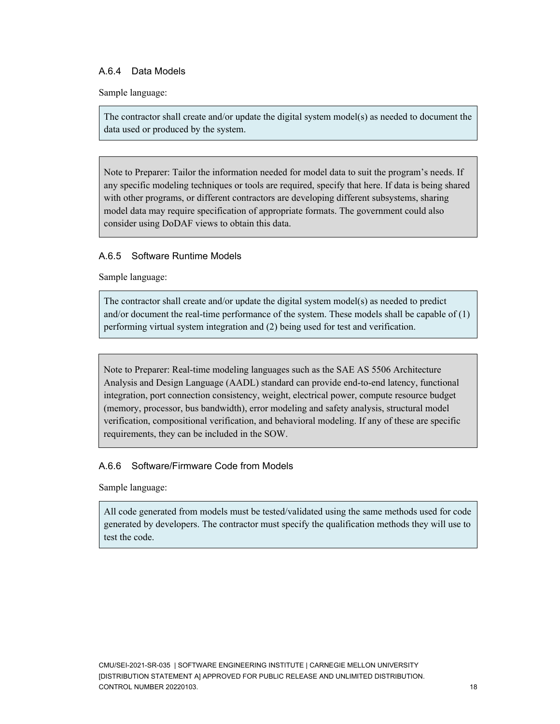#### A.6.4 Data Models

Sample language:

The contractor shall create and/or update the digital system model(s) as needed to document the data used or produced by the system.

Note to Preparer: Tailor the information needed for model data to suit the program's needs. If any specific modeling techniques or tools are required, specify that here. If data is being shared with other programs, or different contractors are developing different subsystems, sharing model data may require specification of appropriate formats. The government could also consider using DoDAF views to obtain this data.

#### A.6.5 Software Runtime Models

Sample language:

The contractor shall create and/or update the digital system model(s) as needed to predict and/or document the real-time performance of the system. These models shall be capable of (1) performing virtual system integration and (2) being used for test and verification.

Note to Preparer: Real-time modeling languages such as the SAE AS 5506 Architecture Analysis and Design Language (AADL) standard can provide end-to-end latency, functional integration, port connection consistency, weight, electrical power, compute resource budget (memory, processor, bus bandwidth), error modeling and safety analysis, structural model verification, compositional verification, and behavioral modeling. If any of these are specific requirements, they can be included in the SOW.

#### A.6.6 Software/Firmware Code from Models

Sample language:

All code generated from models must be tested/validated using the same methods used for code generated by developers. The contractor must specify the qualification methods they will use to test the code.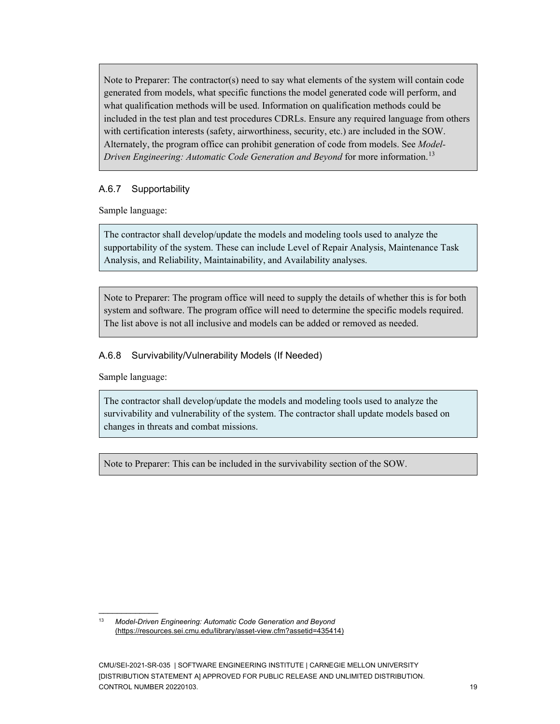Note to Preparer: The contractor(s) need to say what elements of the system will contain code generated from models, what specific functions the model generated code will perform, and what qualification methods will be used. Information on qualification methods could be included in the test plan and test procedures CDRLs. Ensure any required language from others with certification interests (safety, airworthiness, security, etc.) are included in the SOW. Alternately, the program office can prohibit generation of code from models. See *[Model-](https://resources.sei.cmu.edu/asset_files/technicalnote/2015_004_001_435420.pdf)[Driven Engineering: Automatic Code Generation and Beyond](https://resources.sei.cmu.edu/asset_files/technicalnote/2015_004_001_435420.pdf)* for more information.<sup>[13](#page-23-0)</sup>

### A.6.7 Supportability

Sample language:

The contractor shall develop/update the models and modeling tools used to analyze the supportability of the system. These can include Level of Repair Analysis, Maintenance Task Analysis, and Reliability, Maintainability, and Availability analyses.

Note to Preparer: The program office will need to supply the details of whether this is for both system and software. The program office will need to determine the specific models required. The list above is not all inclusive and models can be added or removed as needed.

### A.6.8 Survivability/Vulnerability Models (If Needed)

Sample language:

 $\overline{\phantom{a}}$ 

The contractor shall develop/update the models and modeling tools used to analyze the survivability and vulnerability of the system. The contractor shall update models based on changes in threats and combat missions.

Note to Preparer: This can be included in the survivability section of the SOW.

<span id="page-23-0"></span><sup>13</sup> *Model-Driven Engineering: Automatic Code Generation and Beyond* (https://resources.sei.cmu.edu/library/asset-view.cfm?assetid=435414)

CMU/SEI-2021-SR-035 | SOFTWARE ENGINEERING INSTITUTE | CARNEGIE MELLON UNIVERSITY [DISTRIBUTION STATEMENT A] APPROVED FOR PUBLIC RELEASE AND UNLIMITED DISTRIBUTION. CONTROL NUMBER 20220103. 19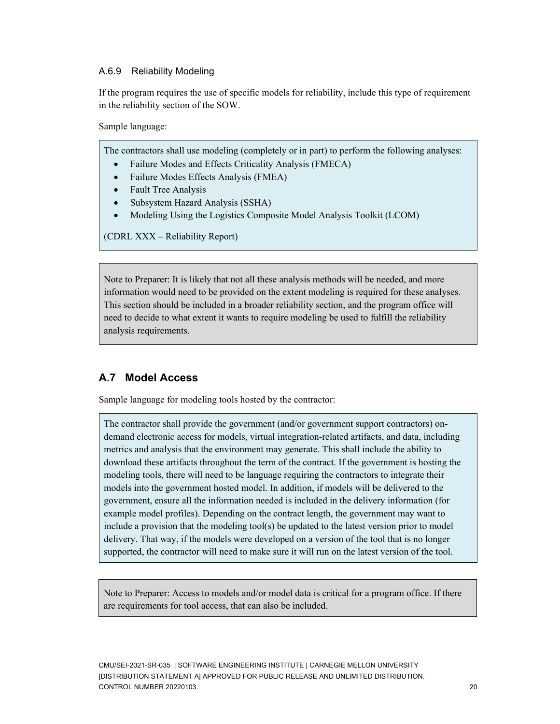#### A.6.9 Reliability Modeling

If the program requires the use of specific models for reliability, include this type of requirement in the reliability section of the SOW.

Sample language:

The contractors shall use modeling (completely or in part) to perform the following analyses:

- Failure Modes and Effects Criticality Analysis (FMECA)
- Failure Modes Effects Analysis (FMEA)
- Fault Tree Analysis
- Subsystem Hazard Analysis (SSHA)
- Modeling Using the Logistics Composite Model Analysis Toolkit (LCOM)

(CDRL XXX – Reliability Report)

Note to Preparer: It is likely that not all these analysis methods will be needed, and more information would need to be provided on the extent modeling is required for these analyses. This section should be included in a broader reliability section, and the program office will need to decide to what extent it wants to require modeling be used to fulfill the reliability analysis requirements.

### **A.7 Model Access**

Sample language for modeling tools hosted by the contractor:

The contractor shall provide the government (and/or government support contractors) ondemand electronic access for models, virtual integration-related artifacts, and data, including metrics and analysis that the environment may generate. This shall include the ability to download these artifacts throughout the term of the contract. If the government is hosting the modeling tools, there will need to be language requiring the contractors to integrate their models into the government hosted model. In addition, if models will be delivered to the government, ensure all the information needed is included in the delivery information (for example model profiles). Depending on the contract length, the government may want to include a provision that the modeling tool(s) be updated to the latest version prior to model delivery. That way, if the models were developed on a version of the tool that is no longer supported, the contractor will need to make sure it will run on the latest version of the tool.

Note to Preparer: Access to models and/or model data is critical for a program office. If there are requirements for tool access, that can also be included.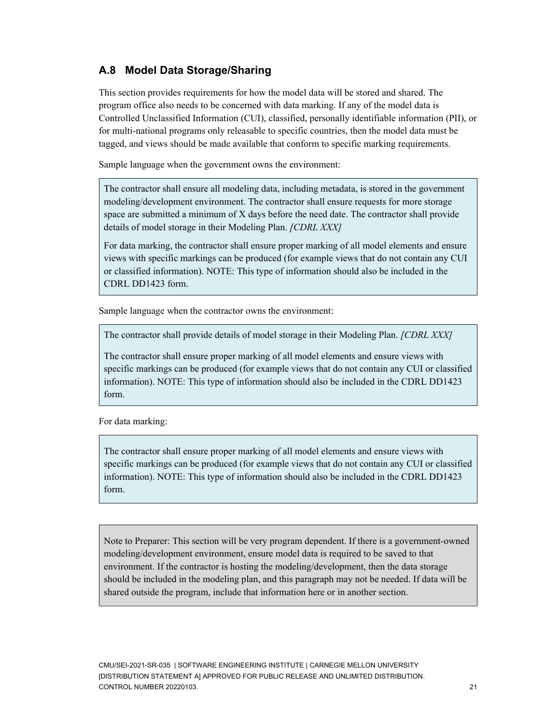### **A.8 Model Data Storage/Sharing**

This section provides requirements for how the model data will be stored and shared. The program office also needs to be concerned with data marking. If any of the model data is Controlled Unclassified Information (CUI), classified, personally identifiable information (PII), or for multi-national programs only releasable to specific countries, then the model data must be tagged, and views should be made available that conform to specific marking requirements.

Sample language when the government owns the environment:

The contractor shall ensure all modeling data, including metadata, is stored in the government modeling/development environment. The contractor shall ensure requests for more storage space are submitted a minimum of X days before the need date. The contractor shall provide details of model storage in their Modeling Plan. *[CDRL XXX]*

For data marking, the contractor shall ensure proper marking of all model elements and ensure views with specific markings can be produced (for example views that do not contain any CUI or classified information). NOTE: This type of information should also be included in the CDRL DD1423 form.

Sample language when the contractor owns the environment:

The contractor shall provide details of model storage in their Modeling Plan. *[CDRL XXX]*

The contractor shall ensure proper marking of all model elements and ensure views with specific markings can be produced (for example views that do not contain any CUI or classified information). NOTE: This type of information should also be included in the CDRL DD1423 form.

For data marking:

The contractor shall ensure proper marking of all model elements and ensure views with specific markings can be produced (for example views that do not contain any CUI or classified information). NOTE: This type of information should also be included in the CDRL DD1423 form.

Note to Preparer: This section will be very program dependent. If there is a government-owned modeling/development environment, ensure model data is required to be saved to that environment. If the contractor is hosting the modeling/development, then the data storage should be included in the modeling plan, and this paragraph may not be needed. If data will be shared outside the program, include that information here or in another section.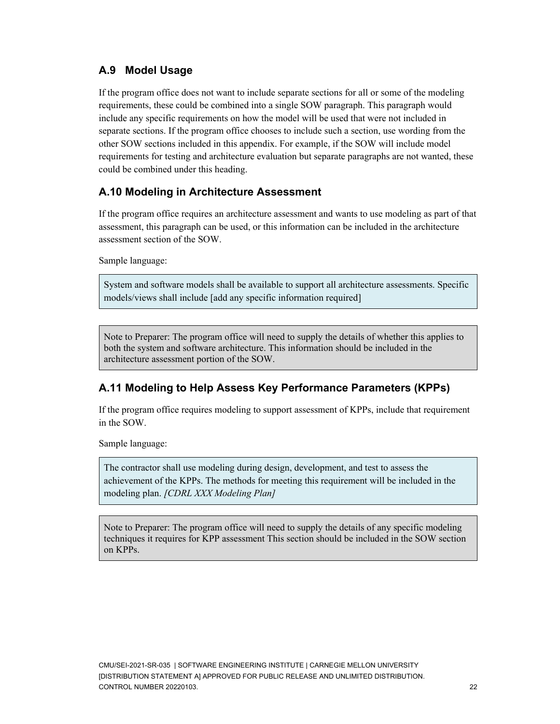### **A.9 Model Usage**

If the program office does not want to include separate sections for all or some of the modeling requirements, these could be combined into a single SOW paragraph. This paragraph would include any specific requirements on how the model will be used that were not included in separate sections. If the program office chooses to include such a section, use wording from the other SOW sections included in this appendix. For example, if the SOW will include model requirements for testing and architecture evaluation but separate paragraphs are not wanted, these could be combined under this heading.

### **A.10 Modeling in Architecture Assessment**

If the program office requires an architecture assessment and wants to use modeling as part of that assessment, this paragraph can be used, or this information can be included in the architecture assessment section of the SOW.

Sample language:

System and software models shall be available to support all architecture assessments. Specific models/views shall include [add any specific information required]

Note to Preparer: The program office will need to supply the details of whether this applies to both the system and software architecture. This information should be included in the architecture assessment portion of the SOW.

### **A.11 Modeling to Help Assess Key Performance Parameters (KPPs)**

If the program office requires modeling to support assessment of KPPs, include that requirement in the SOW.

Sample language:

The contractor shall use modeling during design, development, and test to assess the achievement of the KPPs. The methods for meeting this requirement will be included in the modeling plan. *[CDRL XXX Modeling Plan]*

Note to Preparer: The program office will need to supply the details of any specific modeling techniques it requires for KPP assessment This section should be included in the SOW section on KPPs.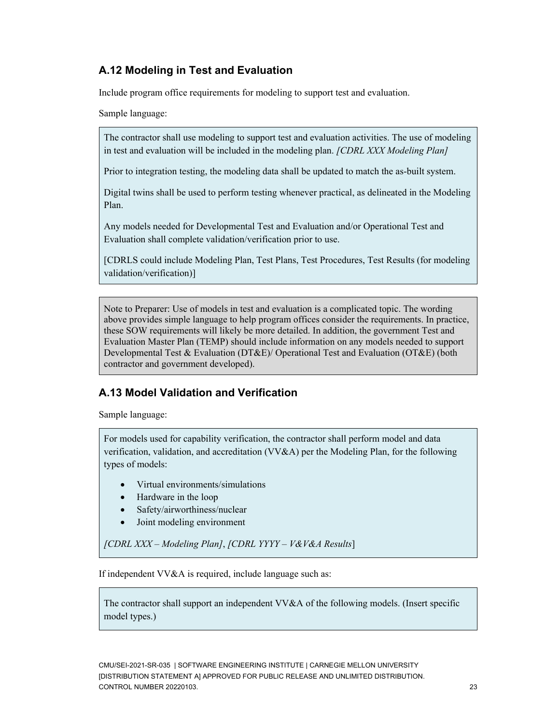### **A.12 Modeling in Test and Evaluation**

Include program office requirements for modeling to support test and evaluation.

Sample language:

The contractor shall use modeling to support test and evaluation activities. The use of modeling in test and evaluation will be included in the modeling plan. *[CDRL XXX Modeling Plan]*

Prior to integration testing, the modeling data shall be updated to match the as-built system.

Digital twins shall be used to perform testing whenever practical, as delineated in the Modeling Plan.

Any models needed for Developmental Test and Evaluation and/or Operational Test and Evaluation shall complete validation/verification prior to use.

[CDRLS could include Modeling Plan, Test Plans, Test Procedures, Test Results (for modeling validation/verification)]

Note to Preparer: Use of models in test and evaluation is a complicated topic. The wording above provides simple language to help program offices consider the requirements. In practice, these SOW requirements will likely be more detailed. In addition, the government Test and Evaluation Master Plan (TEMP) should include information on any models needed to support Developmental Test & Evaluation (DT&E)/ Operational Test and Evaluation (OT&E) (both contractor and government developed).

### **A.13 Model Validation and Verification**

Sample language:

For models used for capability verification, the contractor shall perform model and data verification, validation, and accreditation (VV&A) per the Modeling Plan, for the following types of models:

- Virtual environments/simulations
- Hardware in the loop
- Safety/airworthiness/nuclear
- Joint modeling environment

*[CDRL XXX – Modeling Plan]*, *[CDRL YYYY – V&V&A Results*]

If independent VV&A is required, include language such as:

The contractor shall support an independent VV&A of the following models. (Insert specific model types.)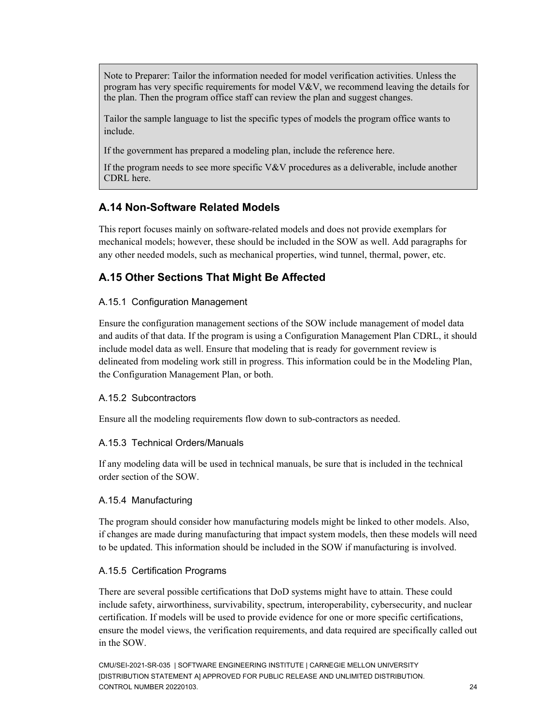Note to Preparer: Tailor the information needed for model verification activities. Unless the program has very specific requirements for model  $V&V$ , we recommend leaving the details for the plan. Then the program office staff can review the plan and suggest changes.

Tailor the sample language to list the specific types of models the program office wants to include.

If the government has prepared a modeling plan, include the reference here.

If the program needs to see more specific V&V procedures as a deliverable, include another CDRL here.

### **A.14 Non-Software Related Models**

This report focuses mainly on software-related models and does not provide exemplars for mechanical models; however, these should be included in the SOW as well. Add paragraphs for any other needed models, such as mechanical properties, wind tunnel, thermal, power, etc.

### **A.15 Other Sections That Might Be Affected**

#### A.15.1 Configuration Management

Ensure the configuration management sections of the SOW include management of model data and audits of that data. If the program is using a Configuration Management Plan CDRL, it should include model data as well. Ensure that modeling that is ready for government review is delineated from modeling work still in progress. This information could be in the Modeling Plan, the Configuration Management Plan, or both.

#### A.15.2 Subcontractors

Ensure all the modeling requirements flow down to sub-contractors as needed.

#### A.15.3 Technical Orders/Manuals

If any modeling data will be used in technical manuals, be sure that is included in the technical order section of the SOW.

#### A.15.4 Manufacturing

The program should consider how manufacturing models might be linked to other models. Also, if changes are made during manufacturing that impact system models, then these models will need to be updated. This information should be included in the SOW if manufacturing is involved.

#### A.15.5 Certification Programs

There are several possible certifications that DoD systems might have to attain. These could include safety, airworthiness, survivability, spectrum, interoperability, cybersecurity, and nuclear certification. If models will be used to provide evidence for one or more specific certifications, ensure the model views, the verification requirements, and data required are specifically called out in the SOW.

CMU/SEI-2021-SR-035 | SOFTWARE ENGINEERING INSTITUTE | CARNEGIE MELLON UNIVERSITY [DISTRIBUTION STATEMENT A] APPROVED FOR PUBLIC RELEASE AND UNLIMITED DISTRIBUTION. CONTROL NUMBER 20220103. 24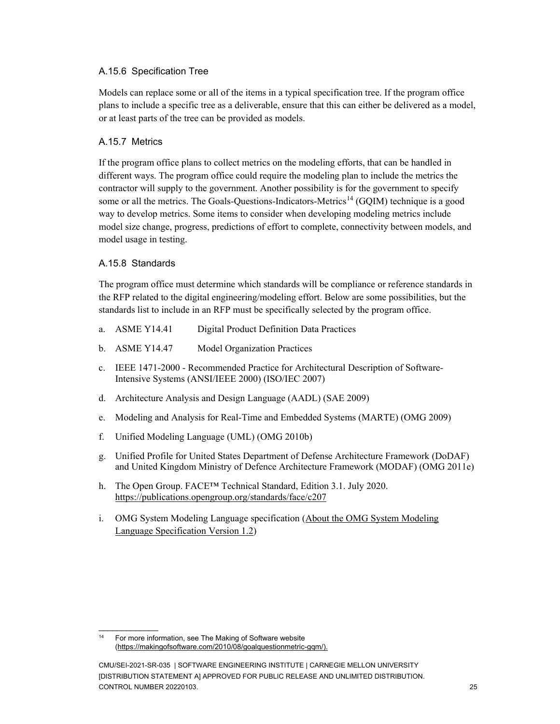#### A.15.6 Specification Tree

Models can replace some or all of the items in a typical specification tree. If the program office plans to include a specific tree as a deliverable, ensure that this can either be delivered as a model, or at least parts of the tree can be provided as models.

### A.15.7 Metrics

If the program office plans to collect metrics on the modeling efforts, that can be handled in different ways. The program office could require the modeling plan to include the metrics the contractor will supply to the government. Another possibility is for the government to specify some or all the metrics. The Goals-Questions-Indicators-Metrics<sup>[14](#page-29-0)</sup> (GQIM) technique is a good way to develop metrics. Some items to consider when developing modeling metrics include model size change, progress, predictions of effort to complete, connectivity between models, and model usage in testing.

### A.15.8 Standards

 $\overline{\phantom{a}}$ 

The program office must determine which standards will be compliance or reference standards in the RFP related to the digital engineering/modeling effort. Below are some possibilities, but the standards list to include in an RFP must be specifically selected by the program office.

- a. ASME Y14.41 Digital Product Definition Data Practices
- b. ASME Y14.47 Model Organization Practices
- c. IEEE 1471-2000 Recommended Practice for Architectural Description of [Software-](https://www.sebokwiki.org/wiki/Software_(glossary))Intensive Systems (ANSI/IEEE 2000) (ISO/IEC 2007)
- d. Architecture Analysis and Design Language (AADL) (SAE 2009)
- e. Modeling and Analysis for Real-Time and Embedded Systems (MARTE) (OMG 2009)
- f. Unified Modeling Language (UML) (OMG 2010b)
- g. Unified Profile for United States Department of Defense [Architecture](https://www.sebokwiki.org/wiki/Architecture_(glossary)) Framework (DoDAF) and United Kingdom Ministry of Defence Architecture Framework (MODAF) (OMG 2011e)
- h. The Open Group. FACE™ Technical Standard, Edition 3.1. July 2020. <https://publications.opengroup.org/standards/face/c207>
- i. OMG System Modeling Language specification [\(About the OMG System Modeling](https://www.omg.org/spec/SysML/1.2/About-SysML/#:%7E:text=Normative%20Machine%20Readable%20Documents%20%20%20%20Description,%20%20ptc%2F10-03-01%20%201%20more%20rows%20)  [Language Specification Version 1.2\)](https://www.omg.org/spec/SysML/1.2/About-SysML/#:%7E:text=Normative%20Machine%20Readable%20Documents%20%20%20%20Description,%20%20ptc%2F10-03-01%20%201%20more%20rows%20)

<span id="page-29-0"></span><sup>&</sup>lt;sup>14</sup> For more information, see The Making of Software website [\(https://makingofsoftware.com/2010/08/goalquestionmetric-gqm/\)](https://makingofsoftware.com/2010/08/goalquestionmetric-gqm/).

CMU/SEI-2021-SR-035 | SOFTWARE ENGINEERING INSTITUTE | CARNEGIE MELLON UNIVERSITY [DISTRIBUTION STATEMENT A] APPROVED FOR PUBLIC RELEASE AND UNLIMITED DISTRIBUTION. CONTROL NUMBER 20220103. 25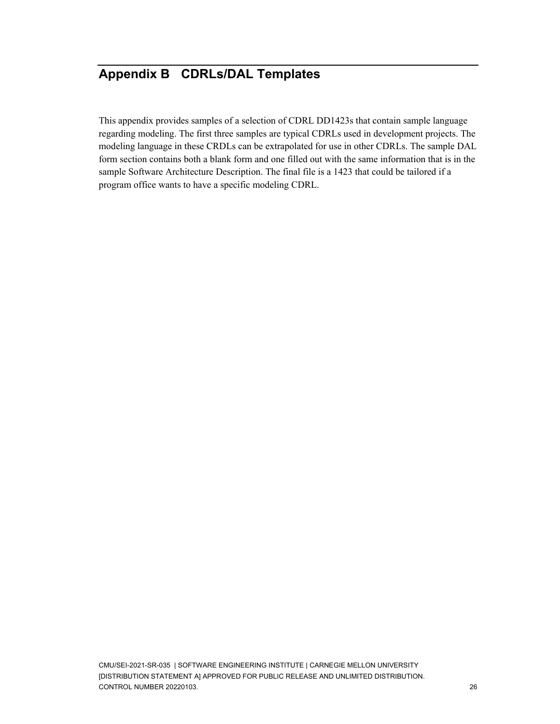## <span id="page-30-0"></span>**Appendix B CDRLs/DAL Templates**

This appendix provides samples of a selection of CDRL DD1423s that contain sample language regarding modeling. The first three samples are typical CDRLs used in development projects. The modeling language in these CRDLs can be extrapolated for use in other CDRLs. The sample DAL form section contains both a blank form and one filled out with the same information that is in the sample Software Architecture Description. The final file is a 1423 that could be tailored if a program office wants to have a specific modeling CDRL.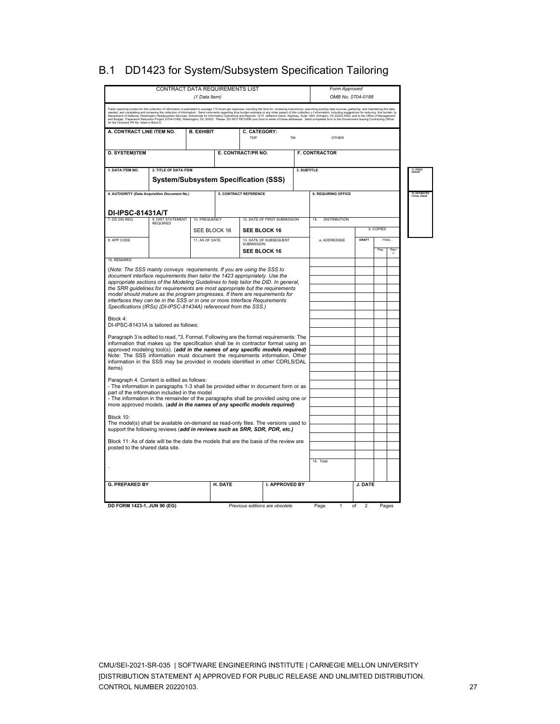| <b>CONTRACT DATA REQUIREMENTS LIST</b><br>(1 Data Item)                                                                                                                                                                                                                                                                                                                                                                                 |                                                                      |                                |         |                                |                              |             | Form Approved<br>OMB No. 0704-0188                                                                                                                                                                                                |                                           |     |                |                                    |
|-----------------------------------------------------------------------------------------------------------------------------------------------------------------------------------------------------------------------------------------------------------------------------------------------------------------------------------------------------------------------------------------------------------------------------------------|----------------------------------------------------------------------|--------------------------------|---------|--------------------------------|------------------------------|-------------|-----------------------------------------------------------------------------------------------------------------------------------------------------------------------------------------------------------------------------------|-------------------------------------------|-----|----------------|------------------------------------|
|                                                                                                                                                                                                                                                                                                                                                                                                                                         |                                                                      |                                |         |                                |                              |             | Public reporting burden for this collection of information is estimated to average 110 hours per response, including the time for reviewing instructions, searching edials assurces, gathering and maintaining the data<br>needed |                                           |     |                |                                    |
| A. CONTRACT LINE ITEM NO.<br><b>B. EXHIBIT</b><br>C. CATEGORY:<br>TDP<br><b>TM</b>                                                                                                                                                                                                                                                                                                                                                      |                                                                      |                                |         |                                |                              |             | <b>OTHER</b>                                                                                                                                                                                                                      |                                           |     |                |                                    |
| <b>D. SYSTEM ITEM</b>                                                                                                                                                                                                                                                                                                                                                                                                                   |                                                                      |                                |         | E. CONTRACT/PR NO.             |                              |             | <b>F. CONTRACTOR</b>                                                                                                                                                                                                              |                                           |     |                |                                    |
| 1. DATA ITEM NO.                                                                                                                                                                                                                                                                                                                                                                                                                        | 2. TITLE OF DATA ITEM<br><b>System/Subsystem Specification (SSS)</b> |                                |         |                                |                              | 3. SUBTITLE |                                                                                                                                                                                                                                   |                                           |     |                | 17. PRI<br>GROUP                   |
| 4. AUTHORITY (Data Acquisition Document No.)                                                                                                                                                                                                                                                                                                                                                                                            |                                                                      |                                |         | <b>5. CONTRACT REFERENCE</b>   |                              |             | <b>6. REQUIRING OFFICE</b>                                                                                                                                                                                                        |                                           |     |                | <b>18. ESTIMATE</b><br>TOTAL PRICE |
| <b>DI-IPSC-81431A/T</b><br>7. DD 250 REQ                                                                                                                                                                                                                                                                                                                                                                                                | 9. DIST STATEMENT<br><b>REQUIRED</b>                                 | 10. FREQUENCY                  |         |                                | 12. DATE OF FIRST SUBMISSION |             | <b>DISTRIBUTION</b>                                                                                                                                                                                                               |                                           |     |                |                                    |
| 8. APP CODE                                                                                                                                                                                                                                                                                                                                                                                                                             |                                                                      | SEE BLOCK 16<br>11. AS OF DATE |         | SEE BLOCK 16<br>SUBMISSION     | 13. DATE OF SUBSEQUENT       |             | a. ADDRESSEE                                                                                                                                                                                                                      | <b>b. COPIES</b><br><b>DRAFT</b><br>FINAL |     |                |                                    |
| 16. REMARKS                                                                                                                                                                                                                                                                                                                                                                                                                             |                                                                      |                                |         | SEE BLOCK 16                   |                              |             |                                                                                                                                                                                                                                   |                                           | Reg | Rep<br>$\circ$ |                                    |
| model should mature as the program progresses. If there are requirements for<br>interfaces they can be in the SSS or in one or more Interface Requirements<br>Specifications (IRSs) (DI-IPSC-81434A) referenced from the SSS.)<br>Block 4:                                                                                                                                                                                              |                                                                      |                                |         |                                |                              |             |                                                                                                                                                                                                                                   |                                           |     |                |                                    |
| DI-IPSC-81431A is tailored as follows:                                                                                                                                                                                                                                                                                                                                                                                                  |                                                                      |                                |         |                                |                              |             |                                                                                                                                                                                                                                   |                                           |     |                |                                    |
| Paragraph 3 is edited to read, "3. Format. Following are the format requirements: The<br>information that makes up the specification shall be in contractor format using an<br>approved modeling tool(s). (add in the names of any specific models required)<br>Note: The SSS information must document the requirements information. Other<br>information in the SSS may be provided in models identified in other CDRLS/DAL<br>items) |                                                                      |                                |         |                                |                              |             |                                                                                                                                                                                                                                   |                                           |     |                |                                    |
| Paragraph 4. Content is edited as follows:<br>- The information in paragraphs 1-3 shall be provided either in document form or as<br>part of the information included in the model<br>- The information in the remainder of the paragraphs shall be provided using one or<br>more approved models. (add in the names of any specific models required)                                                                                   |                                                                      |                                |         |                                |                              |             |                                                                                                                                                                                                                                   |                                           |     |                |                                    |
| Block 10:<br>The model(s) shall be available on-demand as read-only files. The versions used to<br>support the following reviews (add in reviews such as SRR, SDR, PDR, etc.)                                                                                                                                                                                                                                                           |                                                                      |                                |         |                                |                              |             |                                                                                                                                                                                                                                   |                                           |     |                |                                    |
| Block 11: As of date will be the date the models that are the basis of the review are<br>posted to the shared data site.                                                                                                                                                                                                                                                                                                                |                                                                      |                                |         |                                |                              |             |                                                                                                                                                                                                                                   |                                           |     |                |                                    |
|                                                                                                                                                                                                                                                                                                                                                                                                                                         |                                                                      |                                |         |                                |                              |             | 15. Total                                                                                                                                                                                                                         |                                           |     |                |                                    |
| <b>G. PREPARED BY</b>                                                                                                                                                                                                                                                                                                                                                                                                                   |                                                                      |                                | H. DATE |                                | <b>I. APPROVED BY</b>        |             |                                                                                                                                                                                                                                   | <b>J. DATE</b>                            |     |                |                                    |
| DD FORM 1423-1, JUN 90 (EG)                                                                                                                                                                                                                                                                                                                                                                                                             |                                                                      |                                |         | Previous editions are obsolete |                              |             | Page<br>1                                                                                                                                                                                                                         | of<br>$\overline{2}$                      |     | Pages          |                                    |

## B.1 DD1423 for System/Subsystem Specification Tailoring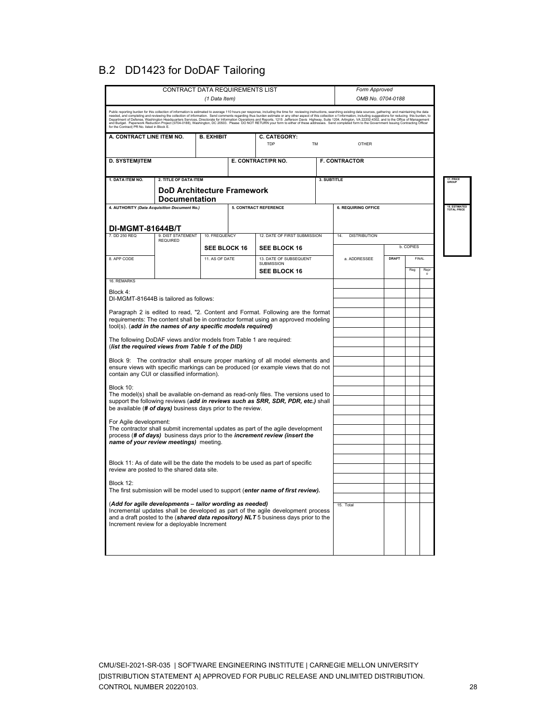## B.2 DD1423 for DoDAF Tailoring

|                                                                                                                                                                                                                                                                                  | <b>CONTRACT DATA REQUIREMENTS LIST</b>                    |                     |  |                                                                                                                                                                                                                                                                                                                                                                                                                                                                        |             | Form Approved              |              |           |                 |                                    |
|----------------------------------------------------------------------------------------------------------------------------------------------------------------------------------------------------------------------------------------------------------------------------------|-----------------------------------------------------------|---------------------|--|------------------------------------------------------------------------------------------------------------------------------------------------------------------------------------------------------------------------------------------------------------------------------------------------------------------------------------------------------------------------------------------------------------------------------------------------------------------------|-------------|----------------------------|--------------|-----------|-----------------|------------------------------------|
|                                                                                                                                                                                                                                                                                  |                                                           | (1 Data Item)       |  |                                                                                                                                                                                                                                                                                                                                                                                                                                                                        |             | OMB No. 0704-0188          |              |           |                 |                                    |
| for the Contract  PR No. listed in Block E.                                                                                                                                                                                                                                      |                                                           |                     |  | .<br>Public reporting burden for this collection of information is estimated to average 110 hours per response, including the time for reviewing instructions, searching existing data sources, gathering and maintaining the dat<br>needed, and completing and reviewing the collection of information. Send comments regarding thus understanded or any other aspect of this collection of information, including suggestions for reducing this burden, to<br>Depart |             |                            |              |           |                 |                                    |
| A. CONTRACT LINE ITEM NO.                                                                                                                                                                                                                                                        |                                                           |                     |  |                                                                                                                                                                                                                                                                                                                                                                                                                                                                        |             |                            |              |           |                 |                                    |
|                                                                                                                                                                                                                                                                                  |                                                           |                     |  | TDP                                                                                                                                                                                                                                                                                                                                                                                                                                                                    | <b>TM</b>   | OTHER                      |              |           |                 |                                    |
| <b>D. SYSTEM ITEM</b>                                                                                                                                                                                                                                                            |                                                           |                     |  | E. CONTRACT/PR NO.                                                                                                                                                                                                                                                                                                                                                                                                                                                     |             | <b>F. CONTRACTOR</b>       |              |           |                 |                                    |
|                                                                                                                                                                                                                                                                                  |                                                           |                     |  |                                                                                                                                                                                                                                                                                                                                                                                                                                                                        |             |                            |              |           |                 |                                    |
| 1. DATA ITEM NO.                                                                                                                                                                                                                                                                 | 2. TITLE OF DATA ITEM                                     |                     |  |                                                                                                                                                                                                                                                                                                                                                                                                                                                                        | 3. SUBTITLE |                            |              |           |                 | 17. PRICE<br>GROUP                 |
|                                                                                                                                                                                                                                                                                  | <b>DoD Architecture Framework</b><br><b>Documentation</b> |                     |  |                                                                                                                                                                                                                                                                                                                                                                                                                                                                        |             |                            |              |           |                 |                                    |
| 4. AUTHORITY (Data Acquisition Document No.)                                                                                                                                                                                                                                     |                                                           |                     |  | <b>5. CONTRACT REFERENCE</b>                                                                                                                                                                                                                                                                                                                                                                                                                                           |             | <b>6. REQUIRING OFFICE</b> |              |           |                 | <b>18. ESTIMATE</b><br>TOTAL PRICE |
|                                                                                                                                                                                                                                                                                  |                                                           |                     |  |                                                                                                                                                                                                                                                                                                                                                                                                                                                                        |             |                            |              |           |                 |                                    |
| <b>DI-MGMT-81644B/T</b>                                                                                                                                                                                                                                                          |                                                           |                     |  |                                                                                                                                                                                                                                                                                                                                                                                                                                                                        |             |                            |              |           |                 |                                    |
| 7. DD 250 REQ                                                                                                                                                                                                                                                                    | 9. DIST STATEMENT<br><b>REQUIRED</b>                      | 10. FREQUENCY       |  | 12. DATE OF FIRST SUBMISSION                                                                                                                                                                                                                                                                                                                                                                                                                                           |             | 14.<br><b>DISTRIBUTION</b> |              |           |                 |                                    |
|                                                                                                                                                                                                                                                                                  |                                                           | <b>SEE BLOCK 16</b> |  | <b>SEE BLOCK 16</b>                                                                                                                                                                                                                                                                                                                                                                                                                                                    |             |                            |              | b. COPIES |                 |                                    |
| 8. APP CODE                                                                                                                                                                                                                                                                      |                                                           | 11. AS OF DATE      |  | 13. DATE OF SUBSEQUENT<br><b>SUBMISSION</b>                                                                                                                                                                                                                                                                                                                                                                                                                            |             | a. ADDRESSEE               | <b>DRAFT</b> |           | <b>FINAL</b>    |                                    |
|                                                                                                                                                                                                                                                                                  |                                                           |                     |  | <b>SEE BLOCK 16</b>                                                                                                                                                                                                                                                                                                                                                                                                                                                    |             |                            |              | Reg       | Repr<br>$\circ$ |                                    |
| 16. REMARKS                                                                                                                                                                                                                                                                      |                                                           |                     |  |                                                                                                                                                                                                                                                                                                                                                                                                                                                                        |             |                            |              |           |                 |                                    |
| Block 4:<br>DI-MGMT-81644B is tailored as follows:                                                                                                                                                                                                                               |                                                           |                     |  |                                                                                                                                                                                                                                                                                                                                                                                                                                                                        |             |                            |              |           |                 |                                    |
|                                                                                                                                                                                                                                                                                  |                                                           |                     |  | Paragraph 2 is edited to read, "2. Content and Format. Following are the format                                                                                                                                                                                                                                                                                                                                                                                        |             |                            |              |           |                 |                                    |
|                                                                                                                                                                                                                                                                                  |                                                           |                     |  | requirements: The content shall be in contractor format using an approved modeling                                                                                                                                                                                                                                                                                                                                                                                     |             |                            |              |           |                 |                                    |
| tool(s). (add in the names of any specific models required)                                                                                                                                                                                                                      |                                                           |                     |  |                                                                                                                                                                                                                                                                                                                                                                                                                                                                        |             |                            |              |           |                 |                                    |
| The following DoDAF views and/or models from Table 1 are required:<br>(list the required views from Table 1 of the DID)                                                                                                                                                          |                                                           |                     |  |                                                                                                                                                                                                                                                                                                                                                                                                                                                                        |             |                            |              |           |                 |                                    |
|                                                                                                                                                                                                                                                                                  |                                                           |                     |  | Block 9: The contractor shall ensure proper marking of all model elements and                                                                                                                                                                                                                                                                                                                                                                                          |             |                            |              |           |                 |                                    |
|                                                                                                                                                                                                                                                                                  |                                                           |                     |  | ensure views with specific markings can be produced (or example views that do not                                                                                                                                                                                                                                                                                                                                                                                      |             |                            |              |           |                 |                                    |
| contain any CUI or classified information).                                                                                                                                                                                                                                      |                                                           |                     |  |                                                                                                                                                                                                                                                                                                                                                                                                                                                                        |             |                            |              |           |                 |                                    |
| Block 10:                                                                                                                                                                                                                                                                        |                                                           |                     |  | The model(s) shall be available on-demand as read-only files. The versions used to                                                                                                                                                                                                                                                                                                                                                                                     |             |                            |              |           |                 |                                    |
|                                                                                                                                                                                                                                                                                  |                                                           |                     |  | support the following reviews (add in reviews such as SRR, SDR, PDR, etc.) shall                                                                                                                                                                                                                                                                                                                                                                                       |             |                            |              |           |                 |                                    |
| be available (# of days) business days prior to the review.                                                                                                                                                                                                                      |                                                           |                     |  |                                                                                                                                                                                                                                                                                                                                                                                                                                                                        |             |                            |              |           |                 |                                    |
| For Agile development:                                                                                                                                                                                                                                                           |                                                           |                     |  | The contractor shall submit incremental updates as part of the agile development                                                                                                                                                                                                                                                                                                                                                                                       |             |                            |              |           |                 |                                    |
|                                                                                                                                                                                                                                                                                  |                                                           |                     |  | process (# of days) business days prior to the <i>increment review (insert the</i>                                                                                                                                                                                                                                                                                                                                                                                     |             |                            |              |           |                 |                                    |
| name of your review meetings) meeting.                                                                                                                                                                                                                                           |                                                           |                     |  |                                                                                                                                                                                                                                                                                                                                                                                                                                                                        |             |                            |              |           |                 |                                    |
|                                                                                                                                                                                                                                                                                  |                                                           |                     |  | Block 11: As of date will be the date the models to be used as part of specific                                                                                                                                                                                                                                                                                                                                                                                        |             |                            |              |           |                 |                                    |
| review are posted to the shared data site.                                                                                                                                                                                                                                       |                                                           |                     |  |                                                                                                                                                                                                                                                                                                                                                                                                                                                                        |             |                            |              |           |                 |                                    |
| Block 12:                                                                                                                                                                                                                                                                        |                                                           |                     |  |                                                                                                                                                                                                                                                                                                                                                                                                                                                                        |             |                            |              |           |                 |                                    |
|                                                                                                                                                                                                                                                                                  |                                                           |                     |  | The first submission will be model used to support (enter name of first review).                                                                                                                                                                                                                                                                                                                                                                                       |             |                            |              |           |                 |                                    |
| (Add for agile developments - tailor wording as needed)<br>Incremental updates shall be developed as part of the agile development process<br>and a draft posted to the (shared data repository) NLT 5 business days prior to the<br>Increment review for a deployable Increment |                                                           |                     |  |                                                                                                                                                                                                                                                                                                                                                                                                                                                                        |             | 15. Total                  |              |           |                 |                                    |
|                                                                                                                                                                                                                                                                                  |                                                           |                     |  |                                                                                                                                                                                                                                                                                                                                                                                                                                                                        |             |                            |              |           |                 |                                    |
|                                                                                                                                                                                                                                                                                  |                                                           |                     |  |                                                                                                                                                                                                                                                                                                                                                                                                                                                                        |             |                            |              |           |                 |                                    |

CMU/SEI-2021-SR-035 | SOFTWARE ENGINEERING INSTITUTE | CARNEGIE MELLON UNIVERSITY [DISTRIBUTION STATEMENT A] APPROVED FOR PUBLIC RELEASE AND UNLIMITED DISTRIBUTION. CONTROL NUMBER 20220103. 28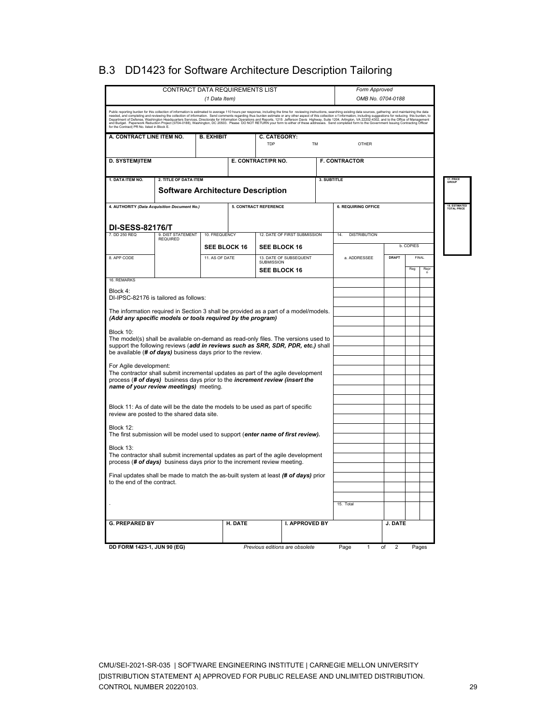|                                                                                                                                                              |                                                                   | <b>CONTRACT DATA REQUIREMENTS LIST</b> |         |                                                                                                                                                                                                                                                                                                                                                                                                                                                                    |             | Form Approved              |         |              |         |
|--------------------------------------------------------------------------------------------------------------------------------------------------------------|-------------------------------------------------------------------|----------------------------------------|---------|--------------------------------------------------------------------------------------------------------------------------------------------------------------------------------------------------------------------------------------------------------------------------------------------------------------------------------------------------------------------------------------------------------------------------------------------------------------------|-------------|----------------------------|---------|--------------|---------|
|                                                                                                                                                              |                                                                   | (1 Data Item)                          |         |                                                                                                                                                                                                                                                                                                                                                                                                                                                                    |             | OMB No. 0704-0188          |         |              |         |
| for the Contract  PR No. listed in Block E.                                                                                                                  |                                                                   |                                        |         | Public reporting burden for this collection of information is estimated to average 110 hours per response, including the time for reviewing instructions, searching existing data sources, gathering and maintaining the data<br>needed, and completing and reviewing the collection of information. Send comments regarding thus builded and only other aspect of this collection of information, including suggestions for reducing this burden, to<br>Departmen |             |                            |         |              |         |
| A. CONTRACT LINE ITEM NO.                                                                                                                                    |                                                                   | <b>B. EXHIBIT</b>                      |         | C. CATEGORY:                                                                                                                                                                                                                                                                                                                                                                                                                                                       |             |                            |         |              |         |
|                                                                                                                                                              |                                                                   |                                        |         | TDP                                                                                                                                                                                                                                                                                                                                                                                                                                                                | <b>TM</b>   | OTHER                      |         |              |         |
| <b>D. SYSTEM ITEM</b>                                                                                                                                        |                                                                   | <b>F. CONTRACTOR</b>                   |         |                                                                                                                                                                                                                                                                                                                                                                                                                                                                    |             |                            |         |              |         |
| 1. DATA ITEM NO.                                                                                                                                             | 2. TITLE OF DATA ITEM<br><b>Software Architecture Description</b> |                                        |         |                                                                                                                                                                                                                                                                                                                                                                                                                                                                    | 3. SUBTITLE |                            |         |              |         |
|                                                                                                                                                              | 4. AUTHORITY (Data Acquisition Document No.)                      |                                        |         | <b>5. CONTRACT REFERENCE</b>                                                                                                                                                                                                                                                                                                                                                                                                                                       |             | <b>6. REQUIRING OFFICE</b> |         |              |         |
| <b>DI-SESS-82176/T</b>                                                                                                                                       |                                                                   |                                        |         |                                                                                                                                                                                                                                                                                                                                                                                                                                                                    |             |                            |         |              |         |
| 7. DD 250 REQ                                                                                                                                                | 9. DIST STATEMENT<br><b>REQUIRED</b>                              | 10. FREQUENCY                          |         | 12. DATE OF FIRST SUBMISSION                                                                                                                                                                                                                                                                                                                                                                                                                                       |             | 14<br><b>DISTRIBUTION</b>  |         |              |         |
|                                                                                                                                                              |                                                                   | <b>SEE BLOCK 16</b>                    |         | <b>SEE BLOCK 16</b>                                                                                                                                                                                                                                                                                                                                                                                                                                                |             |                            |         | b. COPIES    |         |
| 8. APP CODE                                                                                                                                                  |                                                                   | 11. AS OF DATE                         |         | 13. DATE OF SUBSEQUENT<br><b>SUBMISSION</b><br><b>SEE BLOCK 16</b>                                                                                                                                                                                                                                                                                                                                                                                                 |             | a. ADDRESSEE               | DRAFT   | FINAL<br>Reg | Rep     |
| 16. REMARKS                                                                                                                                                  |                                                                   |                                        |         |                                                                                                                                                                                                                                                                                                                                                                                                                                                                    |             |                            |         |              | $\circ$ |
| Block 4:                                                                                                                                                     | DI-IPSC-82176 is tailored as follows:                             |                                        |         |                                                                                                                                                                                                                                                                                                                                                                                                                                                                    |             |                            |         |              |         |
|                                                                                                                                                              |                                                                   |                                        |         | The information required in Section 3 shall be provided as a part of a model/models.                                                                                                                                                                                                                                                                                                                                                                               |             |                            |         |              |         |
|                                                                                                                                                              | (Add any specific models or tools required by the program)        |                                        |         |                                                                                                                                                                                                                                                                                                                                                                                                                                                                    |             |                            |         |              |         |
| Block 10:                                                                                                                                                    |                                                                   |                                        |         |                                                                                                                                                                                                                                                                                                                                                                                                                                                                    |             |                            |         |              |         |
|                                                                                                                                                              | be available (# of days) business days prior to the review.       |                                        |         | The model(s) shall be available on-demand as read-only files. The versions used to<br>support the following reviews (add in reviews such as SRR, SDR, PDR, etc.) shall                                                                                                                                                                                                                                                                                             |             |                            |         |              |         |
| For Agile development:                                                                                                                                       |                                                                   |                                        |         |                                                                                                                                                                                                                                                                                                                                                                                                                                                                    |             |                            |         |              |         |
|                                                                                                                                                              |                                                                   |                                        |         | The contractor shall submit incremental updates as part of the agile development<br>process (# of days) business days prior to the <i>increment review (insert the</i>                                                                                                                                                                                                                                                                                             |             |                            |         |              |         |
|                                                                                                                                                              | name of your review meetings) meeting.                            |                                        |         |                                                                                                                                                                                                                                                                                                                                                                                                                                                                    |             |                            |         |              |         |
|                                                                                                                                                              |                                                                   |                                        |         | Block 11: As of date will be the date the models to be used as part of specific                                                                                                                                                                                                                                                                                                                                                                                    |             |                            |         |              |         |
|                                                                                                                                                              | review are posted to the shared data site.                        |                                        |         |                                                                                                                                                                                                                                                                                                                                                                                                                                                                    |             |                            |         |              |         |
| Block 12:                                                                                                                                                    |                                                                   |                                        |         | The first submission will be model used to support (enter name of first review).                                                                                                                                                                                                                                                                                                                                                                                   |             |                            |         |              |         |
| Block 13:                                                                                                                                                    |                                                                   |                                        |         |                                                                                                                                                                                                                                                                                                                                                                                                                                                                    |             |                            |         |              |         |
| The contractor shall submit incremental updates as part of the agile development<br>process (# of days) business days prior to the increment review meeting. |                                                                   |                                        |         |                                                                                                                                                                                                                                                                                                                                                                                                                                                                    |             |                            |         |              |         |
| Final updates shall be made to match the as-built system at least (# of days) prior<br>to the end of the contract.                                           |                                                                   |                                        |         |                                                                                                                                                                                                                                                                                                                                                                                                                                                                    |             |                            |         |              |         |
|                                                                                                                                                              |                                                                   |                                        |         |                                                                                                                                                                                                                                                                                                                                                                                                                                                                    |             |                            |         |              |         |
|                                                                                                                                                              |                                                                   |                                        |         |                                                                                                                                                                                                                                                                                                                                                                                                                                                                    |             | 15 Total                   |         |              |         |
|                                                                                                                                                              |                                                                   |                                        |         |                                                                                                                                                                                                                                                                                                                                                                                                                                                                    |             |                            |         |              |         |
| <b>G. PREPARED BY</b>                                                                                                                                        |                                                                   |                                        | H. DATE | I. APPROVED BY                                                                                                                                                                                                                                                                                                                                                                                                                                                     |             |                            | J. DATE |              |         |

## B.3 DD1423 for Software Architecture Description Tailoring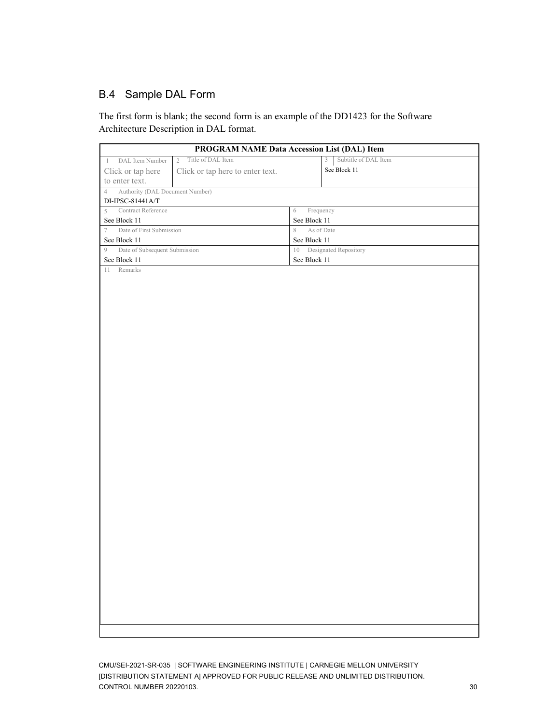### B.4 Sample DAL Form

The first form is blank; the second form is an example of the DD1423 for the Software Architecture Description in DAL format.

| Subtitle of DAL Item<br>Title of DAL Item<br>DAL Item Number<br>$\overline{2}$<br>3<br>1<br>See Block 11<br>Click or tap here<br>Click or tap here to enter text.<br>to enter text.<br>Authority (DAL Document Number)<br>$\overline{4}$<br>DI-IPSC-81441A/T<br>Contract Reference<br>Frequency<br>$\,$ 5 $\,$<br>6<br>See Block $11\,$<br>See Block 11<br>Date of First Submission<br>$\boldsymbol{7}$<br>$\,$ $\,$<br>As of Date<br>See Block 11<br>See Block 11<br>Date of Subsequent Submission<br>10 Designated Repository<br>9<br>See Block 11<br>See Block 11<br>Remarks<br>11 | <b>PROGRAM NAME Data Accession List (DAL) Item</b> |  |
|---------------------------------------------------------------------------------------------------------------------------------------------------------------------------------------------------------------------------------------------------------------------------------------------------------------------------------------------------------------------------------------------------------------------------------------------------------------------------------------------------------------------------------------------------------------------------------------|----------------------------------------------------|--|
|                                                                                                                                                                                                                                                                                                                                                                                                                                                                                                                                                                                       |                                                    |  |
|                                                                                                                                                                                                                                                                                                                                                                                                                                                                                                                                                                                       |                                                    |  |
|                                                                                                                                                                                                                                                                                                                                                                                                                                                                                                                                                                                       |                                                    |  |
|                                                                                                                                                                                                                                                                                                                                                                                                                                                                                                                                                                                       |                                                    |  |
|                                                                                                                                                                                                                                                                                                                                                                                                                                                                                                                                                                                       |                                                    |  |
|                                                                                                                                                                                                                                                                                                                                                                                                                                                                                                                                                                                       |                                                    |  |
|                                                                                                                                                                                                                                                                                                                                                                                                                                                                                                                                                                                       |                                                    |  |
|                                                                                                                                                                                                                                                                                                                                                                                                                                                                                                                                                                                       |                                                    |  |
|                                                                                                                                                                                                                                                                                                                                                                                                                                                                                                                                                                                       |                                                    |  |
|                                                                                                                                                                                                                                                                                                                                                                                                                                                                                                                                                                                       |                                                    |  |
|                                                                                                                                                                                                                                                                                                                                                                                                                                                                                                                                                                                       |                                                    |  |
|                                                                                                                                                                                                                                                                                                                                                                                                                                                                                                                                                                                       |                                                    |  |
|                                                                                                                                                                                                                                                                                                                                                                                                                                                                                                                                                                                       |                                                    |  |
|                                                                                                                                                                                                                                                                                                                                                                                                                                                                                                                                                                                       |                                                    |  |
|                                                                                                                                                                                                                                                                                                                                                                                                                                                                                                                                                                                       |                                                    |  |
|                                                                                                                                                                                                                                                                                                                                                                                                                                                                                                                                                                                       |                                                    |  |
|                                                                                                                                                                                                                                                                                                                                                                                                                                                                                                                                                                                       |                                                    |  |
|                                                                                                                                                                                                                                                                                                                                                                                                                                                                                                                                                                                       |                                                    |  |
|                                                                                                                                                                                                                                                                                                                                                                                                                                                                                                                                                                                       |                                                    |  |
|                                                                                                                                                                                                                                                                                                                                                                                                                                                                                                                                                                                       |                                                    |  |
|                                                                                                                                                                                                                                                                                                                                                                                                                                                                                                                                                                                       |                                                    |  |
|                                                                                                                                                                                                                                                                                                                                                                                                                                                                                                                                                                                       |                                                    |  |
|                                                                                                                                                                                                                                                                                                                                                                                                                                                                                                                                                                                       |                                                    |  |
|                                                                                                                                                                                                                                                                                                                                                                                                                                                                                                                                                                                       |                                                    |  |
|                                                                                                                                                                                                                                                                                                                                                                                                                                                                                                                                                                                       |                                                    |  |
|                                                                                                                                                                                                                                                                                                                                                                                                                                                                                                                                                                                       |                                                    |  |
|                                                                                                                                                                                                                                                                                                                                                                                                                                                                                                                                                                                       |                                                    |  |
|                                                                                                                                                                                                                                                                                                                                                                                                                                                                                                                                                                                       |                                                    |  |
|                                                                                                                                                                                                                                                                                                                                                                                                                                                                                                                                                                                       |                                                    |  |
|                                                                                                                                                                                                                                                                                                                                                                                                                                                                                                                                                                                       |                                                    |  |
|                                                                                                                                                                                                                                                                                                                                                                                                                                                                                                                                                                                       |                                                    |  |
|                                                                                                                                                                                                                                                                                                                                                                                                                                                                                                                                                                                       |                                                    |  |
|                                                                                                                                                                                                                                                                                                                                                                                                                                                                                                                                                                                       |                                                    |  |
|                                                                                                                                                                                                                                                                                                                                                                                                                                                                                                                                                                                       |                                                    |  |
|                                                                                                                                                                                                                                                                                                                                                                                                                                                                                                                                                                                       |                                                    |  |
|                                                                                                                                                                                                                                                                                                                                                                                                                                                                                                                                                                                       |                                                    |  |
|                                                                                                                                                                                                                                                                                                                                                                                                                                                                                                                                                                                       |                                                    |  |
|                                                                                                                                                                                                                                                                                                                                                                                                                                                                                                                                                                                       |                                                    |  |
|                                                                                                                                                                                                                                                                                                                                                                                                                                                                                                                                                                                       |                                                    |  |
|                                                                                                                                                                                                                                                                                                                                                                                                                                                                                                                                                                                       |                                                    |  |
|                                                                                                                                                                                                                                                                                                                                                                                                                                                                                                                                                                                       |                                                    |  |
|                                                                                                                                                                                                                                                                                                                                                                                                                                                                                                                                                                                       |                                                    |  |
|                                                                                                                                                                                                                                                                                                                                                                                                                                                                                                                                                                                       |                                                    |  |
|                                                                                                                                                                                                                                                                                                                                                                                                                                                                                                                                                                                       |                                                    |  |
|                                                                                                                                                                                                                                                                                                                                                                                                                                                                                                                                                                                       |                                                    |  |
|                                                                                                                                                                                                                                                                                                                                                                                                                                                                                                                                                                                       |                                                    |  |
|                                                                                                                                                                                                                                                                                                                                                                                                                                                                                                                                                                                       |                                                    |  |
|                                                                                                                                                                                                                                                                                                                                                                                                                                                                                                                                                                                       |                                                    |  |
|                                                                                                                                                                                                                                                                                                                                                                                                                                                                                                                                                                                       |                                                    |  |
|                                                                                                                                                                                                                                                                                                                                                                                                                                                                                                                                                                                       |                                                    |  |

CMU/SEI-2021-SR-035 | SOFTWARE ENGINEERING INSTITUTE | CARNEGIE MELLON UNIVERSITY [DISTRIBUTION STATEMENT A] APPROVED FOR PUBLIC RELEASE AND UNLIMITED DISTRIBUTION. CONTROL NUMBER 20220103. 30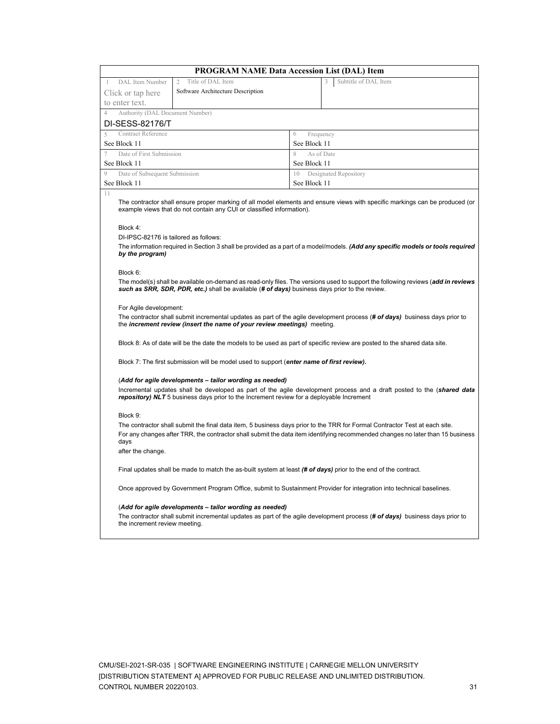|                                                   | <b>PROGRAM NAME Data Accession List (DAL) Item</b>                                                                                                                                                                                                           |                 |                                                                                                                                                                                                                                                                 |  |  |  |
|---------------------------------------------------|--------------------------------------------------------------------------------------------------------------------------------------------------------------------------------------------------------------------------------------------------------------|-----------------|-----------------------------------------------------------------------------------------------------------------------------------------------------------------------------------------------------------------------------------------------------------------|--|--|--|
| DAL Item Number                                   | Title of DAL Item<br>$\overline{2}$                                                                                                                                                                                                                          |                 | Subtitle of DAL Item                                                                                                                                                                                                                                            |  |  |  |
| Click or tap here                                 | Software Architecture Description                                                                                                                                                                                                                            |                 |                                                                                                                                                                                                                                                                 |  |  |  |
| to enter text.                                    |                                                                                                                                                                                                                                                              |                 |                                                                                                                                                                                                                                                                 |  |  |  |
| Authority (DAL Document Number)<br>$\overline{4}$ |                                                                                                                                                                                                                                                              |                 |                                                                                                                                                                                                                                                                 |  |  |  |
| DI-SESS-82176/T                                   |                                                                                                                                                                                                                                                              |                 |                                                                                                                                                                                                                                                                 |  |  |  |
| Contract Reference<br>5                           |                                                                                                                                                                                                                                                              | 6<br>Frequency  |                                                                                                                                                                                                                                                                 |  |  |  |
| See Block 11                                      |                                                                                                                                                                                                                                                              | See Block 11    |                                                                                                                                                                                                                                                                 |  |  |  |
| Date of First Submission<br>7                     |                                                                                                                                                                                                                                                              | 8<br>As of Date |                                                                                                                                                                                                                                                                 |  |  |  |
| See Block 11                                      |                                                                                                                                                                                                                                                              | See Block 11    |                                                                                                                                                                                                                                                                 |  |  |  |
| Date of Subsequent Submission<br>9                |                                                                                                                                                                                                                                                              | 10              | Designated Repository                                                                                                                                                                                                                                           |  |  |  |
| See Block 11<br>11                                |                                                                                                                                                                                                                                                              | See Block 11    |                                                                                                                                                                                                                                                                 |  |  |  |
| Block 4:<br>DI-IPSC-82176 is tailored as follows: | example views that do not contain any CUI or classified information).                                                                                                                                                                                        |                 | The contractor shall ensure proper marking of all model elements and ensure views with specific markings can be produced (or<br>The information required in Section 3 shall be provided as a part of a model/models. (Add any specific models or tools required |  |  |  |
| by the program)                                   |                                                                                                                                                                                                                                                              |                 |                                                                                                                                                                                                                                                                 |  |  |  |
| Block 6:                                          | such as SRR, SDR, PDR, etc.) shall be available (# of days) business days prior to the review.                                                                                                                                                               |                 | The model(s) shall be available on-demand as read-only files. The versions used to support the following reviews (add in reviews                                                                                                                                |  |  |  |
| For Agile development:                            | the increment review (insert the name of your review meetings) meeting.                                                                                                                                                                                      |                 | The contractor shall submit incremental updates as part of the agile development process (# of days) business days prior to                                                                                                                                     |  |  |  |
|                                                   |                                                                                                                                                                                                                                                              |                 | Block 8: As of date will be the date the models to be used as part of specific review are posted to the shared data site.                                                                                                                                       |  |  |  |
|                                                   | Block 7: The first submission will be model used to support (enter name of first review).                                                                                                                                                                    |                 |                                                                                                                                                                                                                                                                 |  |  |  |
|                                                   | (Add for agile developments - tailor wording as needed)<br>repository) NLT 5 business days prior to the Increment review for a deployable Increment                                                                                                          |                 | Incremental updates shall be developed as part of the agile development process and a draft posted to the (shared data                                                                                                                                          |  |  |  |
| Block 9:                                          |                                                                                                                                                                                                                                                              |                 |                                                                                                                                                                                                                                                                 |  |  |  |
| days<br>after the change.                         | The contractor shall submit the final data item, 5 business days prior to the TRR for Formal Contractor Test at each site.<br>For any changes after TRR, the contractor shall submit the data item identifying recommended changes no later than 15 business |                 |                                                                                                                                                                                                                                                                 |  |  |  |
|                                                   |                                                                                                                                                                                                                                                              |                 |                                                                                                                                                                                                                                                                 |  |  |  |
|                                                   | Final updates shall be made to match the as-built system at least (# of days) prior to the end of the contract.                                                                                                                                              |                 |                                                                                                                                                                                                                                                                 |  |  |  |
|                                                   |                                                                                                                                                                                                                                                              |                 | Once approved by Government Program Office, submit to Sustainment Provider for integration into technical baselines.                                                                                                                                            |  |  |  |
| the increment review meeting.                     | (Add for agile developments - tailor wording as needed)                                                                                                                                                                                                      |                 | The contractor shall submit incremental updates as part of the agile development process (# of days) business days prior to                                                                                                                                     |  |  |  |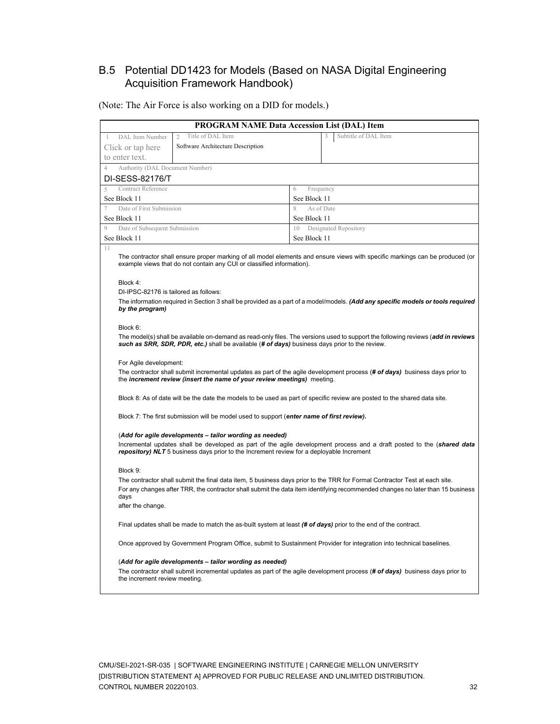### B.5 Potential DD1423 for Models (Based on NASA Digital Engineering Acquisition Framework Handbook)

#### (Note: The Air Force is also working on a DID for models.)

|                                                   | <b>PROGRAM NAME Data Accession List (DAL) Item</b>                                                              |              |                                                                                                                                                                                                                                                                 |  |  |  |  |
|---------------------------------------------------|-----------------------------------------------------------------------------------------------------------------|--------------|-----------------------------------------------------------------------------------------------------------------------------------------------------------------------------------------------------------------------------------------------------------------|--|--|--|--|
| DAL Item Number<br>1                              | Title of DAL Item<br>2                                                                                          |              | Subtitle of DAL Item                                                                                                                                                                                                                                            |  |  |  |  |
| Click or tap here                                 | Software Architecture Description                                                                               |              |                                                                                                                                                                                                                                                                 |  |  |  |  |
| to enter text.                                    |                                                                                                                 |              |                                                                                                                                                                                                                                                                 |  |  |  |  |
| Authority (DAL Document Number)<br>4              |                                                                                                                 |              |                                                                                                                                                                                                                                                                 |  |  |  |  |
| DI-SESS-82176/T                                   |                                                                                                                 |              |                                                                                                                                                                                                                                                                 |  |  |  |  |
| <b>Contract Reference</b><br>5                    |                                                                                                                 | 6            | Frequency                                                                                                                                                                                                                                                       |  |  |  |  |
| See Block 11                                      |                                                                                                                 | See Block 11 |                                                                                                                                                                                                                                                                 |  |  |  |  |
| Date of First Submission<br>7                     |                                                                                                                 | 8            | As of Date                                                                                                                                                                                                                                                      |  |  |  |  |
| See Block 11                                      |                                                                                                                 | See Block 11 |                                                                                                                                                                                                                                                                 |  |  |  |  |
| Date of Subsequent Submission<br>9                |                                                                                                                 | 10           | Designated Repository                                                                                                                                                                                                                                           |  |  |  |  |
| See Block 11                                      |                                                                                                                 | See Block 11 |                                                                                                                                                                                                                                                                 |  |  |  |  |
| Block 4:<br>DI-IPSC-82176 is tailored as follows: | example views that do not contain any CUI or classified information).                                           |              | The contractor shall ensure proper marking of all model elements and ensure views with specific markings can be produced (or<br>The information required in Section 3 shall be provided as a part of a model/models. (Add any specific models or tools required |  |  |  |  |
| by the program)                                   |                                                                                                                 |              |                                                                                                                                                                                                                                                                 |  |  |  |  |
| Block 6:                                          |                                                                                                                 |              | The model(s) shall be available on-demand as read-only files. The versions used to support the following reviews (add in reviews                                                                                                                                |  |  |  |  |
|                                                   | such as SRR, SDR, PDR, etc.) shall be available (# of days) business days prior to the review.                  |              |                                                                                                                                                                                                                                                                 |  |  |  |  |
| For Agile development:                            |                                                                                                                 |              |                                                                                                                                                                                                                                                                 |  |  |  |  |
|                                                   | the <i>increment review (insert the name of your review meetings)</i> meeting.                                  |              | The contractor shall submit incremental updates as part of the agile development process (# of days) business days prior to                                                                                                                                     |  |  |  |  |
|                                                   |                                                                                                                 |              | Block 8: As of date will be the date the models to be used as part of specific review are posted to the shared data site.                                                                                                                                       |  |  |  |  |
|                                                   | Block 7: The first submission will be model used to support (enter name of first review).                       |              |                                                                                                                                                                                                                                                                 |  |  |  |  |
|                                                   | (Add for agile developments - tailor wording as needed)                                                         |              |                                                                                                                                                                                                                                                                 |  |  |  |  |
|                                                   | repository) NLT 5 business days prior to the Increment review for a deployable Increment                        |              | Incremental updates shall be developed as part of the agile development process and a draft posted to the (shared data                                                                                                                                          |  |  |  |  |
| Block 9:                                          |                                                                                                                 |              |                                                                                                                                                                                                                                                                 |  |  |  |  |
|                                                   |                                                                                                                 |              | The contractor shall submit the final data item, 5 business days prior to the TRR for Formal Contractor Test at each site.                                                                                                                                      |  |  |  |  |
| days                                              |                                                                                                                 |              | For any changes after TRR, the contractor shall submit the data item identifying recommended changes no later than 15 business                                                                                                                                  |  |  |  |  |
| after the change.                                 |                                                                                                                 |              |                                                                                                                                                                                                                                                                 |  |  |  |  |
|                                                   | Final updates shall be made to match the as-built system at least (# of days) prior to the end of the contract. |              |                                                                                                                                                                                                                                                                 |  |  |  |  |
|                                                   |                                                                                                                 |              | Once approved by Government Program Office, submit to Sustainment Provider for integration into technical baselines.                                                                                                                                            |  |  |  |  |
|                                                   | (Add for agile developments - tailor wording as needed)                                                         |              |                                                                                                                                                                                                                                                                 |  |  |  |  |
| the increment review meeting.                     |                                                                                                                 |              | The contractor shall submit incremental updates as part of the agile development process (# of days) business days prior to                                                                                                                                     |  |  |  |  |
|                                                   |                                                                                                                 |              |                                                                                                                                                                                                                                                                 |  |  |  |  |

CMU/SEI-2021-SR-035 | SOFTWARE ENGINEERING INSTITUTE | CARNEGIE MELLON UNIVERSITY [DISTRIBUTION STATEMENT A] APPROVED FOR PUBLIC RELEASE AND UNLIMITED DISTRIBUTION. CONTROL NUMBER 20220103. 32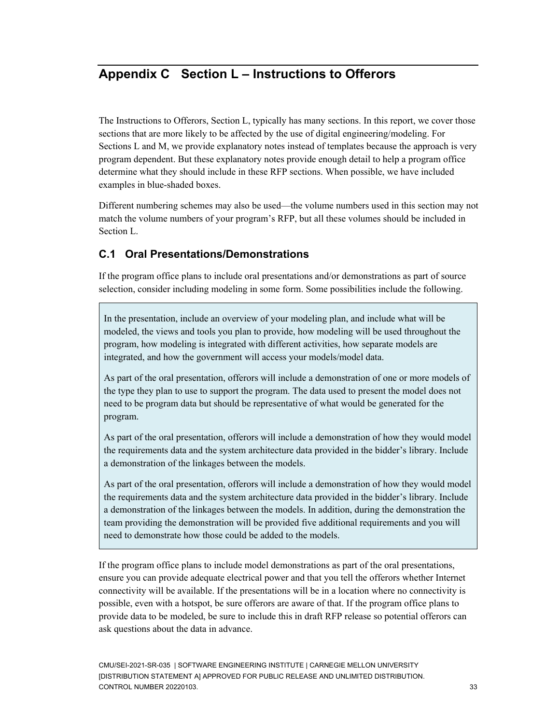## <span id="page-37-0"></span>**Appendix C Section L – Instructions to Offerors**

The Instructions to Offerors, Section L, typically has many sections. In this report, we cover those sections that are more likely to be affected by the use of digital engineering/modeling. For Sections L and M, we provide explanatory notes instead of templates because the approach is very program dependent. But these explanatory notes provide enough detail to help a program office determine what they should include in these RFP sections. When possible, we have included examples in blue-shaded boxes.

Different numbering schemes may also be used—the volume numbers used in this section may not match the volume numbers of your program's RFP, but all these volumes should be included in Section L.

### **C.1 Oral Presentations/Demonstrations**

If the program office plans to include oral presentations and/or demonstrations as part of source selection, consider including modeling in some form. Some possibilities include the following.

In the presentation, include an overview of your modeling plan, and include what will be modeled, the views and tools you plan to provide, how modeling will be used throughout the program, how modeling is integrated with different activities, how separate models are integrated, and how the government will access your models/model data.

As part of the oral presentation, offerors will include a demonstration of one or more models of the type they plan to use to support the program. The data used to present the model does not need to be program data but should be representative of what would be generated for the program.

As part of the oral presentation, offerors will include a demonstration of how they would model the requirements data and the system architecture data provided in the bidder's library. Include a demonstration of the linkages between the models.

As part of the oral presentation, offerors will include a demonstration of how they would model the requirements data and the system architecture data provided in the bidder's library. Include a demonstration of the linkages between the models. In addition, during the demonstration the team providing the demonstration will be provided five additional requirements and you will need to demonstrate how those could be added to the models.

If the program office plans to include model demonstrations as part of the oral presentations, ensure you can provide adequate electrical power and that you tell the offerors whether Internet connectivity will be available. If the presentations will be in a location where no connectivity is possible, even with a hotspot, be sure offerors are aware of that. If the program office plans to provide data to be modeled, be sure to include this in draft RFP release so potential offerors can ask questions about the data in advance.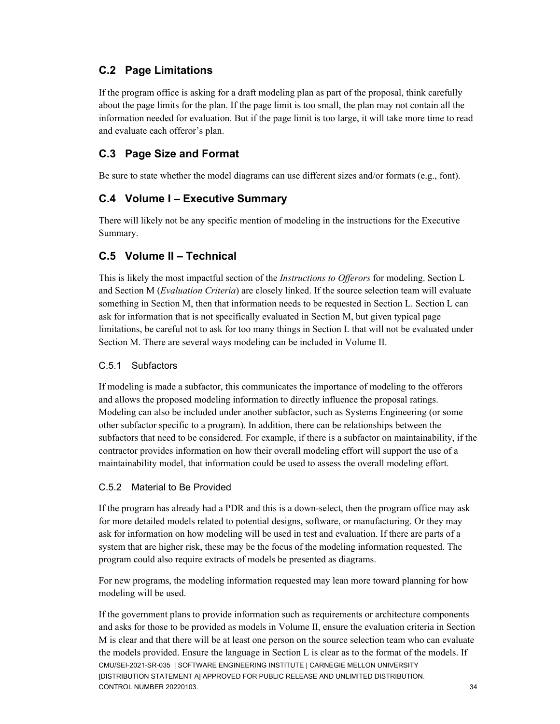### **C.2 Page Limitations**

If the program office is asking for a draft modeling plan as part of the proposal, think carefully about the page limits for the plan. If the page limit is too small, the plan may not contain all the information needed for evaluation. But if the page limit is too large, it will take more time to read and evaluate each offeror's plan.

### **C.3 Page Size and Format**

Be sure to state whether the model diagrams can use different sizes and/or formats (e.g., font).

### **C.4 Volume I – Executive Summary**

There will likely not be any specific mention of modeling in the instructions for the Executive Summary.

### **C.5 Volume II – Technical**

This is likely the most impactful section of the *Instructions to Offerors* for modeling. Section L and Section M (*Evaluation Criteria*) are closely linked. If the source selection team will evaluate something in Section M, then that information needs to be requested in Section L. Section L can ask for information that is not specifically evaluated in Section M, but given typical page limitations, be careful not to ask for too many things in Section L that will not be evaluated under Section M. There are several ways modeling can be included in Volume II.

#### C.5.1 Subfactors

If modeling is made a subfactor, this communicates the importance of modeling to the offerors and allows the proposed modeling information to directly influence the proposal ratings. Modeling can also be included under another subfactor, such as Systems Engineering (or some other subfactor specific to a program). In addition, there can be relationships between the subfactors that need to be considered. For example, if there is a subfactor on maintainability, if the contractor provides information on how their overall modeling effort will support the use of a maintainability model, that information could be used to assess the overall modeling effort.

#### C.5.2 Material to Be Provided

If the program has already had a PDR and this is a down-select, then the program office may ask for more detailed models related to potential designs, software, or manufacturing. Or they may ask for information on how modeling will be used in test and evaluation. If there are parts of a system that are higher risk, these may be the focus of the modeling information requested. The program could also require extracts of models be presented as diagrams.

For new programs, the modeling information requested may lean more toward planning for how modeling will be used.

CMU/SEI-2021-SR-035 | SOFTWARE ENGINEERING INSTITUTE | CARNEGIE MELLON UNIVERSITY [DISTRIBUTION STATEMENT A] APPROVED FOR PUBLIC RELEASE AND UNLIMITED DISTRIBUTION. CONTROL NUMBER 20220103. 34 If the government plans to provide information such as requirements or architecture components and asks for those to be provided as models in Volume II, ensure the evaluation criteria in Section M is clear and that there will be at least one person on the source selection team who can evaluate the models provided. Ensure the language in Section L is clear as to the format of the models. If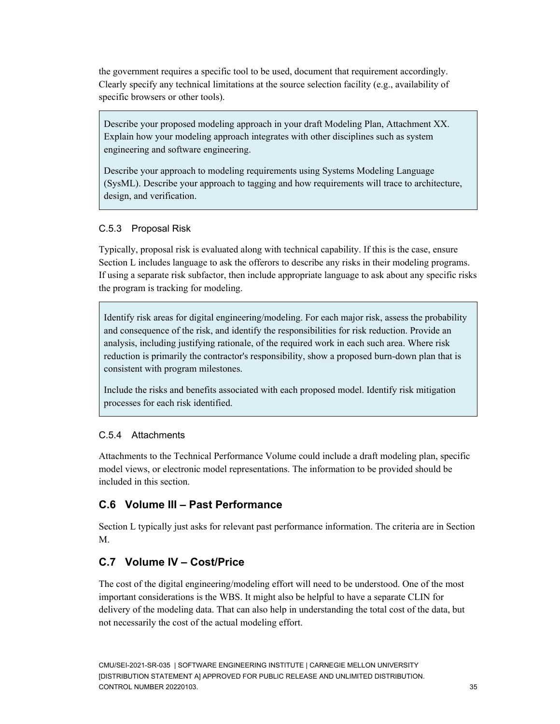the government requires a specific tool to be used, document that requirement accordingly. Clearly specify any technical limitations at the source selection facility (e.g., availability of specific browsers or other tools).

Describe your proposed modeling approach in your draft Modeling Plan, Attachment XX. Explain how your modeling approach integrates with other disciplines such as system engineering and software engineering.

Describe your approach to modeling requirements using Systems Modeling Language (SysML). Describe your approach to tagging and how requirements will trace to architecture, design, and verification.

### C.5.3 Proposal Risk

Typically, proposal risk is evaluated along with technical capability. If this is the case, ensure Section L includes language to ask the offerors to describe any risks in their modeling programs. If using a separate risk subfactor, then include appropriate language to ask about any specific risks the program is tracking for modeling.

Identify risk areas for digital engineering/modeling. For each major risk, assess the probability and consequence of the risk, and identify the responsibilities for risk reduction. Provide an analysis, including justifying rationale, of the required work in each such area. Where risk reduction is primarily the contractor's responsibility, show a proposed burn-down plan that is consistent with program milestones.

Include the risks and benefits associated with each proposed model. Identify risk mitigation processes for each risk identified.

### C.5.4 Attachments

Attachments to the Technical Performance Volume could include a draft modeling plan, specific model views, or electronic model representations. The information to be provided should be included in this section.

### **C.6 Volume III – Past Performance**

Section L typically just asks for relevant past performance information. The criteria are in Section M.

### **C.7 Volume IV – Cost/Price**

The cost of the digital engineering/modeling effort will need to be understood. One of the most important considerations is the WBS. It might also be helpful to have a separate CLIN for delivery of the modeling data. That can also help in understanding the total cost of the data, but not necessarily the cost of the actual modeling effort.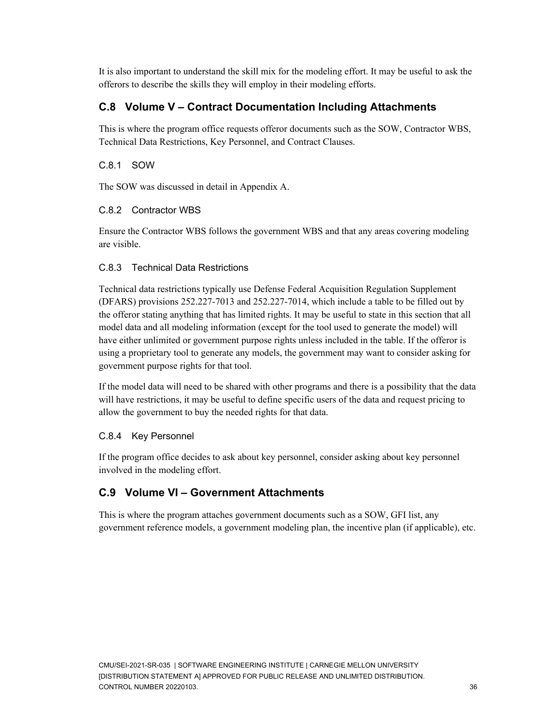It is also important to understand the skill mix for the modeling effort. It may be useful to ask the offerors to describe the skills they will employ in their modeling efforts.

### **C.8 Volume V – Contract Documentation Including Attachments**

This is where the program office requests offeror documents such as the SOW, Contractor WBS, Technical Data Restrictions, Key Personnel, and Contract Clauses.

### C.8.1 SOW

The SOW was discussed in detail in Appendix A.

### C.8.2 Contractor WBS

Ensure the Contractor WBS follows the government WBS and that any areas covering modeling are visible.

### C.8.3 Technical Data Restrictions

Technical data restrictions typically use Defense Federal Acquisition Regulation Supplement (DFARS) provisions 252.227-7013 and 252.227-7014, which include a table to be filled out by the offeror stating anything that has limited rights. It may be useful to state in this section that all model data and all modeling information (except for the tool used to generate the model) will have either unlimited or government purpose rights unless included in the table. If the offeror is using a proprietary tool to generate any models, the government may want to consider asking for government purpose rights for that tool.

If the model data will need to be shared with other programs and there is a possibility that the data will have restrictions, it may be useful to define specific users of the data and request pricing to allow the government to buy the needed rights for that data.

### C.8.4 Key Personnel

If the program office decides to ask about key personnel, consider asking about key personnel involved in the modeling effort.

### **C.9 Volume VI – Government Attachments**

This is where the program attaches government documents such as a SOW, GFI list, any government reference models, a government modeling plan, the incentive plan (if applicable), etc.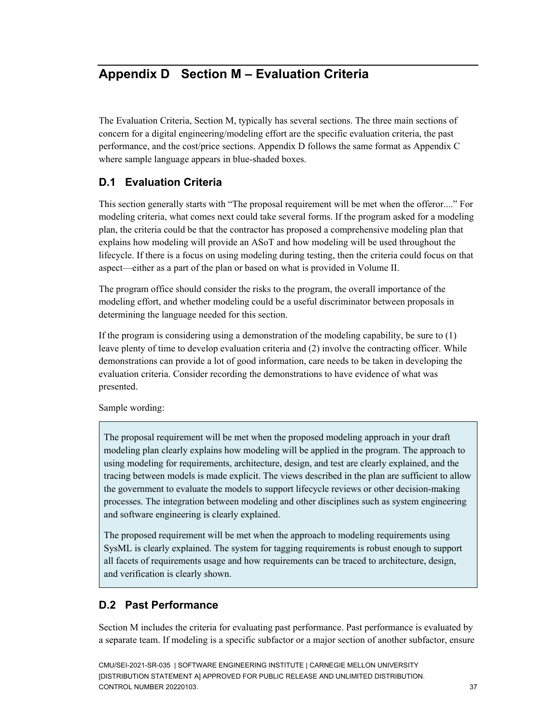## <span id="page-41-0"></span>**Appendix D Section M – Evaluation Criteria**

The Evaluation Criteria, Section M, typically has several sections. The three main sections of concern for a digital engineering/modeling effort are the specific evaluation criteria, the past performance, and the cost/price sections. Appendix D follows the same format as Appendix C where sample language appears in blue-shaded boxes.

### **D.1 Evaluation Criteria**

This section generally starts with "The proposal requirement will be met when the offeror...." For modeling criteria, what comes next could take several forms. If the program asked for a modeling plan, the criteria could be that the contractor has proposed a comprehensive modeling plan that explains how modeling will provide an ASoT and how modeling will be used throughout the lifecycle. If there is a focus on using modeling during testing, then the criteria could focus on that aspect—either as a part of the plan or based on what is provided in Volume II.

The program office should consider the risks to the program, the overall importance of the modeling effort, and whether modeling could be a useful discriminator between proposals in determining the language needed for this section.

If the program is considering using a demonstration of the modeling capability, be sure to (1) leave plenty of time to develop evaluation criteria and (2) involve the contracting officer. While demonstrations can provide a lot of good information, care needs to be taken in developing the evaluation criteria. Consider recording the demonstrations to have evidence of what was presented.

Sample wording:

The proposal requirement will be met when the proposed modeling approach in your draft modeling plan clearly explains how modeling will be applied in the program. The approach to using modeling for requirements, architecture, design, and test are clearly explained, and the tracing between models is made explicit. The views described in the plan are sufficient to allow the government to evaluate the models to support lifecycle reviews or other decision-making processes. The integration between modeling and other disciplines such as system engineering and software engineering is clearly explained.

The proposed requirement will be met when the approach to modeling requirements using SysML is clearly explained. The system for tagging requirements is robust enough to support all facets of requirements usage and how requirements can be traced to architecture, design, and verification is clearly shown.

### **D.2 Past Performance**

Section M includes the criteria for evaluating past performance. Past performance is evaluated by a separate team. If modeling is a specific subfactor or a major section of another subfactor, ensure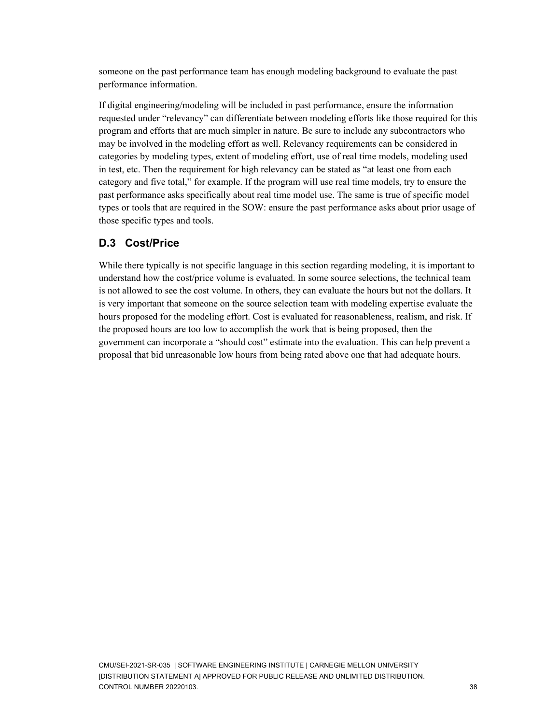someone on the past performance team has enough modeling background to evaluate the past performance information.

If digital engineering/modeling will be included in past performance, ensure the information requested under "relevancy" can differentiate between modeling efforts like those required for this program and efforts that are much simpler in nature. Be sure to include any subcontractors who may be involved in the modeling effort as well. Relevancy requirements can be considered in categories by modeling types, extent of modeling effort, use of real time models, modeling used in test, etc. Then the requirement for high relevancy can be stated as "at least one from each category and five total," for example. If the program will use real time models, try to ensure the past performance asks specifically about real time model use. The same is true of specific model types or tools that are required in the SOW: ensure the past performance asks about prior usage of those specific types and tools.

### **D.3 Cost/Price**

While there typically is not specific language in this section regarding modeling, it is important to understand how the cost/price volume is evaluated. In some source selections, the technical team is not allowed to see the cost volume. In others, they can evaluate the hours but not the dollars. It is very important that someone on the source selection team with modeling expertise evaluate the hours proposed for the modeling effort. Cost is evaluated for reasonableness, realism, and risk. If the proposed hours are too low to accomplish the work that is being proposed, then the government can incorporate a "should cost" estimate into the evaluation. This can help prevent a proposal that bid unreasonable low hours from being rated above one that had adequate hours.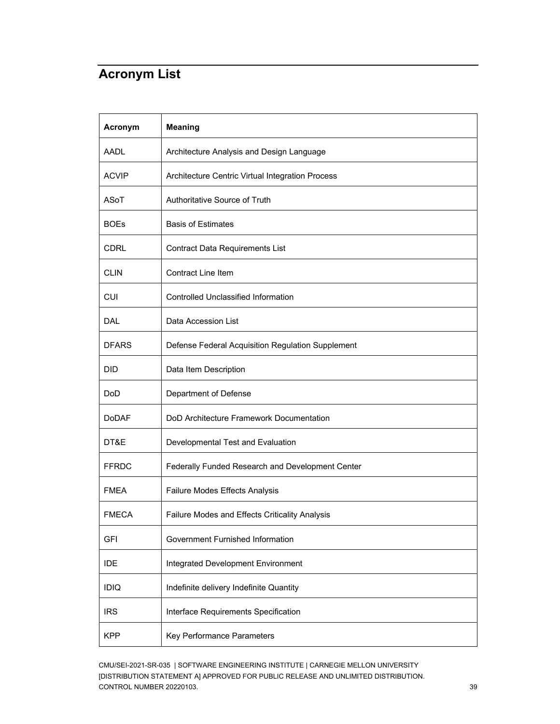## <span id="page-43-0"></span>**Acronym List**

| Acronym      | <b>Meaning</b>                                    |
|--------------|---------------------------------------------------|
| AADL         | Architecture Analysis and Design Language         |
| <b>ACVIP</b> | Architecture Centric Virtual Integration Process  |
| ASoT         | Authoritative Source of Truth                     |
| <b>BOEs</b>  | <b>Basis of Estimates</b>                         |
| <b>CDRL</b>  | <b>Contract Data Requirements List</b>            |
| <b>CLIN</b>  | <b>Contract Line Item</b>                         |
| <b>CUI</b>   | <b>Controlled Unclassified Information</b>        |
| <b>DAL</b>   | Data Accession List                               |
| <b>DFARS</b> | Defense Federal Acquisition Regulation Supplement |
| <b>DID</b>   | Data Item Description                             |
| DoD          | Department of Defense                             |
| <b>DoDAF</b> | DoD Architecture Framework Documentation          |
| DT&E         | Developmental Test and Evaluation                 |
| <b>FFRDC</b> | Federally Funded Research and Development Center  |
| <b>FMEA</b>  | Failure Modes Effects Analysis                    |
| <b>FMECA</b> | Failure Modes and Effects Criticality Analysis    |
| <b>GFI</b>   | Government Furnished Information                  |
| <b>IDE</b>   | Integrated Development Environment                |
| <b>IDIQ</b>  | Indefinite delivery Indefinite Quantity           |
| <b>IRS</b>   | Interface Requirements Specification              |
| <b>KPP</b>   | Key Performance Parameters                        |

CMU/SEI-2021-SR-035 | SOFTWARE ENGINEERING INSTITUTE | CARNEGIE MELLON UNIVERSITY [DISTRIBUTION STATEMENT A] APPROVED FOR PUBLIC RELEASE AND UNLIMITED DISTRIBUTION. CONTROL NUMBER 20220103. 39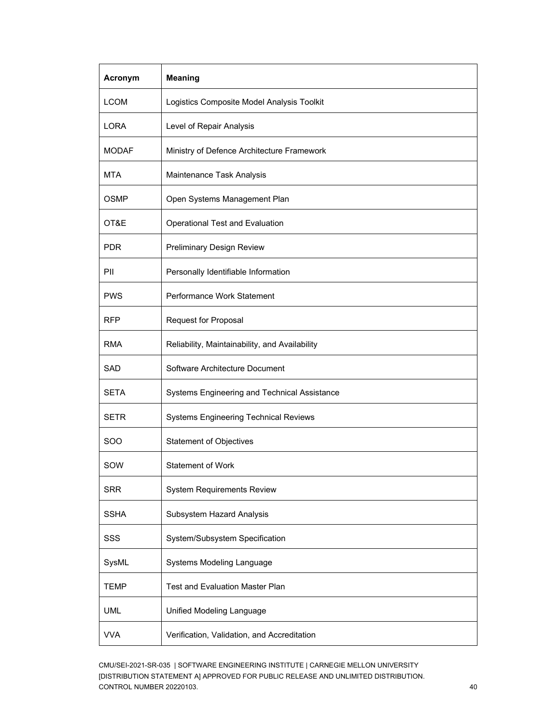| Acronym     | <b>Meaning</b>                                 |
|-------------|------------------------------------------------|
| <b>LCOM</b> | Logistics Composite Model Analysis Toolkit     |
| LORA        | Level of Repair Analysis                       |
| MODAF       | Ministry of Defence Architecture Framework     |
| <b>MTA</b>  | Maintenance Task Analysis                      |
| <b>OSMP</b> | Open Systems Management Plan                   |
| OT&E        | Operational Test and Evaluation                |
| <b>PDR</b>  | <b>Preliminary Design Review</b>               |
| PII         | Personally Identifiable Information            |
| <b>PWS</b>  | Performance Work Statement                     |
| <b>RFP</b>  | Request for Proposal                           |
| RMA         | Reliability, Maintainability, and Availability |
| <b>SAD</b>  | Software Architecture Document                 |
| <b>SETA</b> | Systems Engineering and Technical Assistance   |
| <b>SETR</b> | <b>Systems Engineering Technical Reviews</b>   |
| <b>SOO</b>  | <b>Statement of Objectives</b>                 |
| SOW         | <b>Statement of Work</b>                       |
| <b>SRR</b>  | <b>System Requirements Review</b>              |
| <b>SSHA</b> | Subsystem Hazard Analysis                      |
| SSS         | System/Subsystem Specification                 |
| SysML       | Systems Modeling Language                      |
| <b>TEMP</b> | <b>Test and Evaluation Master Plan</b>         |
| <b>UML</b>  | Unified Modeling Language                      |
| <b>VVA</b>  | Verification, Validation, and Accreditation    |

CMU/SEI-2021-SR-035 | SOFTWARE ENGINEERING INSTITUTE | CARNEGIE MELLON UNIVERSITY [DISTRIBUTION STATEMENT A] APPROVED FOR PUBLIC RELEASE AND UNLIMITED DISTRIBUTION. CONTROL NUMBER 20220103. 40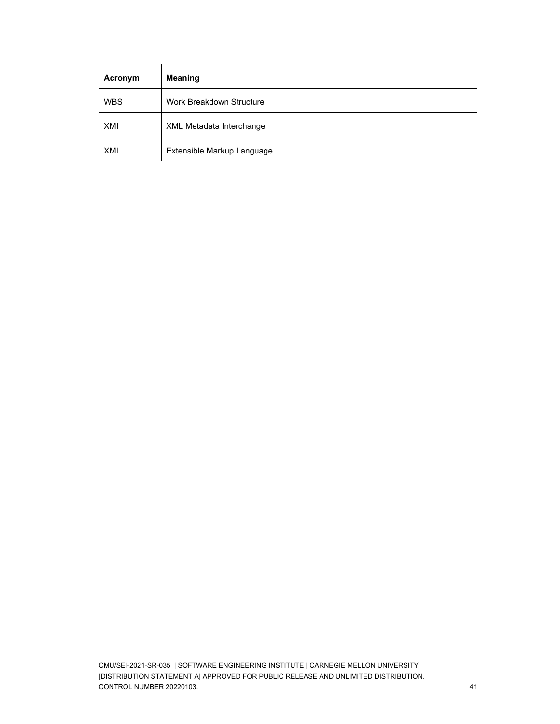| Acronym    | <b>Meaning</b>                  |
|------------|---------------------------------|
| <b>WBS</b> | Work Breakdown Structure        |
| XMI        | <b>XML Metadata Interchange</b> |
| <b>XML</b> | Extensible Markup Language      |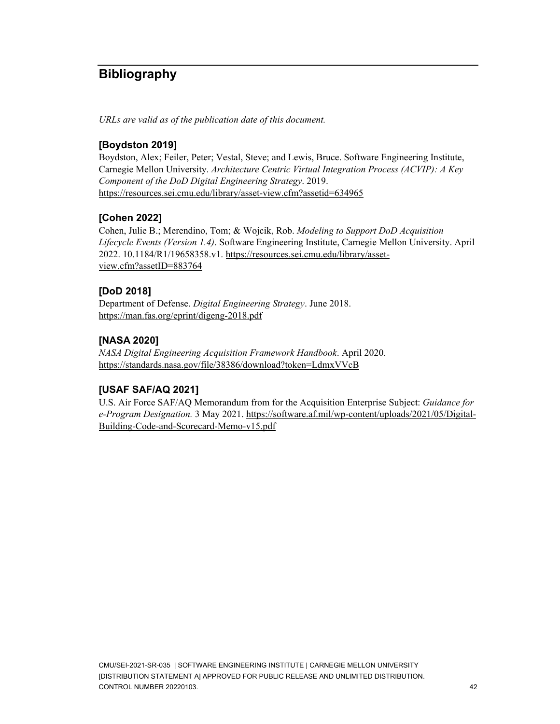## <span id="page-46-0"></span>**Bibliography**

*URLs are valid as of the publication date of this document.*

### **[Boydston 2019]**

Boydston, Alex; Feiler, Peter; Vestal, Steve; and Lewis, Bruce. Software Engineering Institute, Carnegie Mellon University. *Architecture Centric Virtual Integration Process (ACVIP): A Key Component of the DoD Digital Engineering Strategy*. 2019. <https://resources.sei.cmu.edu/library/asset-view.cfm?assetid=634965>

### **[Cohen 2022]**

Cohen, Julie B.; Merendino, Tom; & Wojcik, Rob. *Modeling to Support DoD Acquisition Lifecycle Events (Version 1.4)*. Software Engineering Institute, Carnegie Mellon University. April 2022. 10.1184/R1/19658358.v1. [https://resources.sei.cmu.edu/library/asset](https://resources.sei.cmu.edu/library/asset-view.cfm?assetID=883764)[view.cfm?assetID=883764](https://resources.sei.cmu.edu/library/asset-view.cfm?assetID=883764)

### **[DoD 2018]**

Department of Defense. *Digital Engineering Strategy*. June 2018. <https://man.fas.org/eprint/digeng-2018.pdf>

### **[NASA 2020]**

*NASA Digital Engineering Acquisition Framework Handbook*. April 2020. <https://standards.nasa.gov/file/38386/download?token=LdmxVVcB>

### **[USAF SAF/AQ 2021]**

U.S. Air Force SAF/AQ Memorandum from for the Acquisition Enterprise Subject: *Guidance for e-Program Designation.* 3 May 2021. [https://software.af.mil/wp-content/uploads/2021/05/Digital-](https://software.af.mil/wp-content/uploads/2021/05/Digital-Building-Code-and-Scorecard-Memo-v15.pdf)[Building-Code-and-Scorecard-Memo-v15.pdf](https://software.af.mil/wp-content/uploads/2021/05/Digital-Building-Code-and-Scorecard-Memo-v15.pdf)